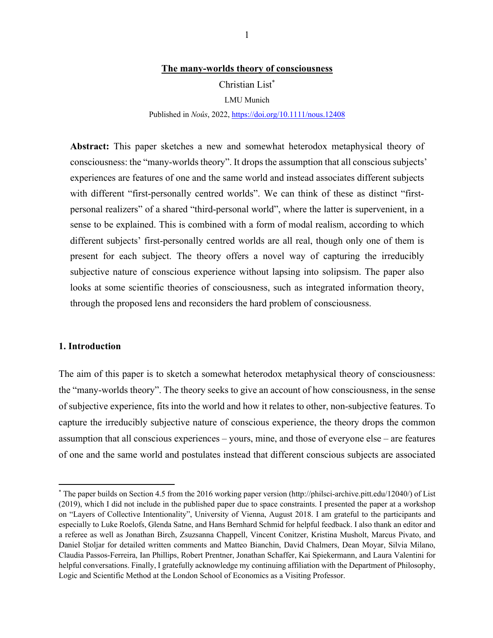## **The many-worlds theory of consciousness**

Christian List\*

LMU Munich

Published in *Noûs*, 2022, https://doi.org/10.1111/nous.12408

**Abstract:** This paper sketches a new and somewhat heterodox metaphysical theory of consciousness: the "many-worlds theory". It drops the assumption that all conscious subjects' experiences are features of one and the same world and instead associates different subjects with different "first-personally centred worlds". We can think of these as distinct "firstpersonal realizers" of a shared "third-personal world", where the latter is supervenient, in a sense to be explained. This is combined with a form of modal realism, according to which different subjects' first-personally centred worlds are all real, though only one of them is present for each subject. The theory offers a novel way of capturing the irreducibly subjective nature of conscious experience without lapsing into solipsism. The paper also looks at some scientific theories of consciousness, such as integrated information theory, through the proposed lens and reconsiders the hard problem of consciousness.

#### **1. Introduction**

The aim of this paper is to sketch a somewhat heterodox metaphysical theory of consciousness: the "many-worlds theory". The theory seeks to give an account of how consciousness, in the sense of subjective experience, fits into the world and how it relates to other, non-subjective features. To capture the irreducibly subjective nature of conscious experience, the theory drops the common assumption that all conscious experiences – yours, mine, and those of everyone else – are features of one and the same world and postulates instead that different conscious subjects are associated

<sup>\*</sup> The paper builds on Section 4.5 from the 2016 working paper version (http://philsci-archive.pitt.edu/12040/) of List (2019), which I did not include in the published paper due to space constraints. I presented the paper at a workshop on "Layers of Collective Intentionality", University of Vienna, August 2018. I am grateful to the participants and especially to Luke Roelofs, Glenda Satne, and Hans Bernhard Schmid for helpful feedback. I also thank an editor and a referee as well as Jonathan Birch, Zsuzsanna Chappell, Vincent Conitzer, Kristina Musholt, Marcus Pivato, and Daniel Stoljar for detailed written comments and Matteo Bianchin, David Chalmers, Dean Moyar, Silvia Milano, Claudia Passos-Ferreira, Ian Phillips, Robert Prentner, Jonathan Schaffer, Kai Spiekermann, and Laura Valentini for helpful conversations. Finally, I gratefully acknowledge my continuing affiliation with the Department of Philosophy, Logic and Scientific Method at the London School of Economics as a Visiting Professor.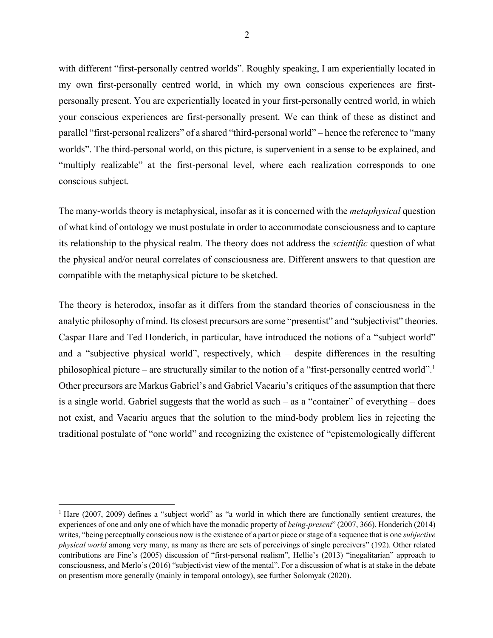with different "first-personally centred worlds". Roughly speaking, I am experientially located in my own first-personally centred world, in which my own conscious experiences are firstpersonally present. You are experientially located in your first-personally centred world, in which your conscious experiences are first-personally present. We can think of these as distinct and parallel "first-personal realizers" of a shared "third-personal world" – hence the reference to "many worlds". The third-personal world, on this picture, is supervenient in a sense to be explained, and "multiply realizable" at the first-personal level, where each realization corresponds to one conscious subject.

The many-worlds theory is metaphysical, insofar as it is concerned with the *metaphysical* question of what kind of ontology we must postulate in order to accommodate consciousness and to capture its relationship to the physical realm. The theory does not address the *scientific* question of what the physical and/or neural correlates of consciousness are. Different answers to that question are compatible with the metaphysical picture to be sketched.

The theory is heterodox, insofar as it differs from the standard theories of consciousness in the analytic philosophy of mind. Its closest precursors are some "presentist" and "subjectivist" theories. Caspar Hare and Ted Honderich, in particular, have introduced the notions of a "subject world" and a "subjective physical world", respectively, which – despite differences in the resulting philosophical picture – are structurally similar to the notion of a "first-personally centred world".1 Other precursors are Markus Gabriel's and Gabriel Vacariu's critiques of the assumption that there is a single world. Gabriel suggests that the world as such – as a "container" of everything – does not exist, and Vacariu argues that the solution to the mind-body problem lies in rejecting the traditional postulate of "one world" and recognizing the existence of "epistemologically different

<sup>&</sup>lt;sup>1</sup> Hare (2007, 2009) defines a "subject world" as "a world in which there are functionally sentient creatures, the experiences of one and only one of which have the monadic property of *being-present*" (2007, 366). Honderich (2014) writes, "being perceptually conscious now is the existence of a part or piece or stage of a sequence that is one *subjective physical world* among very many, as many as there are sets of perceivings of single perceivers" (192). Other related contributions are Fine's (2005) discussion of "first-personal realism", Hellie's (2013) "inegalitarian" approach to consciousness, and Merlo's (2016) "subjectivist view of the mental". For a discussion of what is at stake in the debate on presentism more generally (mainly in temporal ontology), see further Solomyak (2020).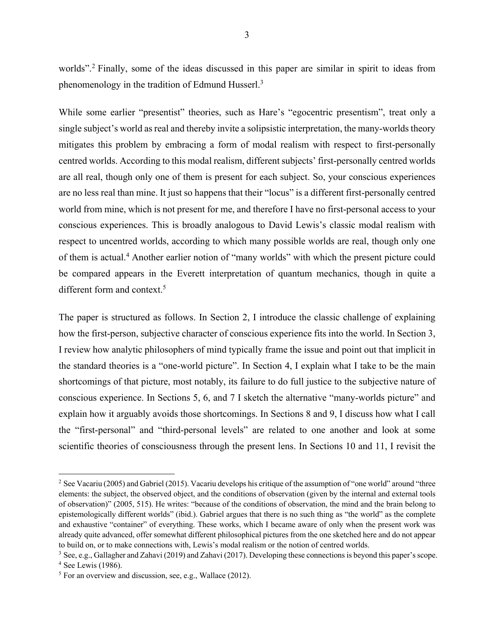worlds". <sup>2</sup> Finally, some of the ideas discussed in this paper are similar in spirit to ideas from phenomenology in the tradition of Edmund Husserl.3

While some earlier "presentist" theories, such as Hare's "egocentric presentism", treat only a single subject's world as real and thereby invite a solipsistic interpretation, the many-worlds theory mitigates this problem by embracing a form of modal realism with respect to first-personally centred worlds. According to this modal realism, different subjects' first-personally centred worlds are all real, though only one of them is present for each subject. So, your conscious experiences are no less real than mine. It just so happens that their "locus" is a different first-personally centred world from mine, which is not present for me, and therefore I have no first-personal access to your conscious experiences. This is broadly analogous to David Lewis's classic modal realism with respect to uncentred worlds, according to which many possible worlds are real, though only one of them is actual.4 Another earlier notion of "many worlds" with which the present picture could be compared appears in the Everett interpretation of quantum mechanics, though in quite a different form and context.5

The paper is structured as follows. In Section 2, I introduce the classic challenge of explaining how the first-person, subjective character of conscious experience fits into the world. In Section 3, I review how analytic philosophers of mind typically frame the issue and point out that implicit in the standard theories is a "one-world picture". In Section 4, I explain what I take to be the main shortcomings of that picture, most notably, its failure to do full justice to the subjective nature of conscious experience. In Sections 5, 6, and 7 I sketch the alternative "many-worlds picture" and explain how it arguably avoids those shortcomings. In Sections 8 and 9, I discuss how what I call the "first-personal" and "third-personal levels" are related to one another and look at some scientific theories of consciousness through the present lens. In Sections 10 and 11, I revisit the

<sup>&</sup>lt;sup>2</sup> See Vacariu (2005) and Gabriel (2015). Vacariu develops his critique of the assumption of "one world" around "three elements: the subject, the observed object, and the conditions of observation (given by the internal and external tools of observation)" (2005, 515). He writes: "because of the conditions of observation, the mind and the brain belong to epistemologically different worlds" (ibid.). Gabriel argues that there is no such thing as "the world" as the complete and exhaustive "container" of everything. These works, which I became aware of only when the present work was already quite advanced, offer somewhat different philosophical pictures from the one sketched here and do not appear to build on, or to make connections with, Lewis's modal realism or the notion of centred worlds.

<sup>3</sup> See, e.g., Gallagher and Zahavi (2019) and Zahavi (2017). Developing these connections is beyond this paper's scope. <sup>4</sup> See Lewis (1986). <sup>5</sup> For an overview and discussion, see, e.g., Wallace (2012).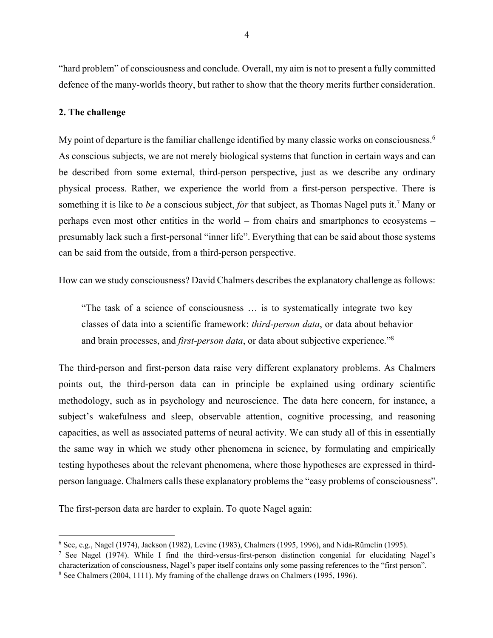"hard problem" of consciousness and conclude. Overall, my aim is not to present a fully committed defence of the many-worlds theory, but rather to show that the theory merits further consideration.

#### **2. The challenge**

My point of departure is the familiar challenge identified by many classic works on consciousness.<sup>6</sup> As conscious subjects, we are not merely biological systems that function in certain ways and can be described from some external, third-person perspective, just as we describe any ordinary physical process. Rather, we experience the world from a first-person perspective. There is something it is like to *be* a conscious subject, *for* that subject, as Thomas Nagel puts it.7 Many or perhaps even most other entities in the world – from chairs and smartphones to ecosystems – presumably lack such a first-personal "inner life". Everything that can be said about those systems can be said from the outside, from a third-person perspective.

How can we study consciousness? David Chalmers describes the explanatory challenge as follows:

"The task of a science of consciousness … is to systematically integrate two key classes of data into a scientific framework: *third-person data*, or data about behavior and brain processes, and *first-person data*, or data about subjective experience."8

The third-person and first-person data raise very different explanatory problems. As Chalmers points out, the third-person data can in principle be explained using ordinary scientific methodology, such as in psychology and neuroscience. The data here concern, for instance, a subject's wakefulness and sleep, observable attention, cognitive processing, and reasoning capacities, as well as associated patterns of neural activity. We can study all of this in essentially the same way in which we study other phenomena in science, by formulating and empirically testing hypotheses about the relevant phenomena, where those hypotheses are expressed in thirdperson language. Chalmers calls these explanatory problems the "easy problems of consciousness".

The first-person data are harder to explain. To quote Nagel again:

<sup>6</sup> See, e.g., Nagel (1974), Jackson (1982), Levine (1983), Chalmers (1995, 1996), and Nida-Rümelin (1995).

<sup>7</sup> See Nagel (1974). While I find the third-versus-first-person distinction congenial for elucidating Nagel's characterization of consciousness, Nagel's paper itself contains only some passing references to the "first person".<br><sup>8</sup> See Chalmers (2004, 1111). My framing of the challenge draws on Chalmers (1995, 1996).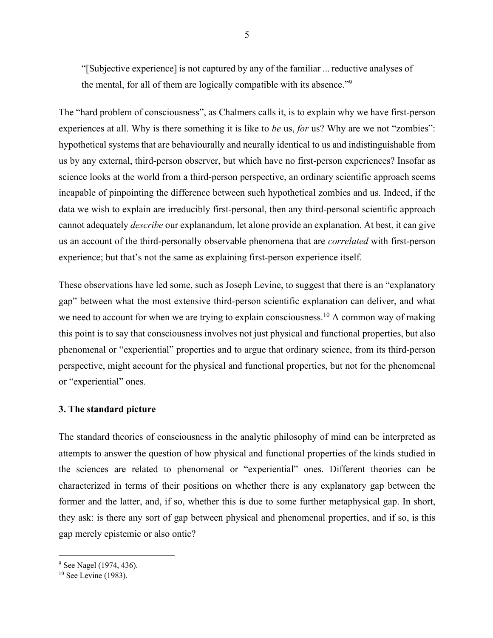"[Subjective experience] is not captured by any of the familiar ... reductive analyses of the mental, for all of them are logically compatible with its absence."9

The "hard problem of consciousness", as Chalmers calls it, is to explain why we have first-person experiences at all. Why is there something it is like to *be* us, *for* us? Why are we not "zombies": hypothetical systems that are behaviourally and neurally identical to us and indistinguishable from us by any external, third-person observer, but which have no first-person experiences? Insofar as science looks at the world from a third-person perspective, an ordinary scientific approach seems incapable of pinpointing the difference between such hypothetical zombies and us. Indeed, if the data we wish to explain are irreducibly first-personal, then any third-personal scientific approach cannot adequately *describe* our explanandum, let alone provide an explanation. At best, it can give us an account of the third-personally observable phenomena that are *correlated* with first-person experience; but that's not the same as explaining first-person experience itself.

These observations have led some, such as Joseph Levine, to suggest that there is an "explanatory gap" between what the most extensive third-person scientific explanation can deliver, and what we need to account for when we are trying to explain consciousness.<sup>10</sup> A common way of making this point is to say that consciousness involves not just physical and functional properties, but also phenomenal or "experiential" properties and to argue that ordinary science, from its third-person perspective, might account for the physical and functional properties, but not for the phenomenal or "experiential" ones.

# **3. The standard picture**

The standard theories of consciousness in the analytic philosophy of mind can be interpreted as attempts to answer the question of how physical and functional properties of the kinds studied in the sciences are related to phenomenal or "experiential" ones. Different theories can be characterized in terms of their positions on whether there is any explanatory gap between the former and the latter, and, if so, whether this is due to some further metaphysical gap. In short, they ask: is there any sort of gap between physical and phenomenal properties, and if so, is this gap merely epistemic or also ontic?

<sup>9</sup> See Nagel (1974, 436).

 $10$  See Levine (1983).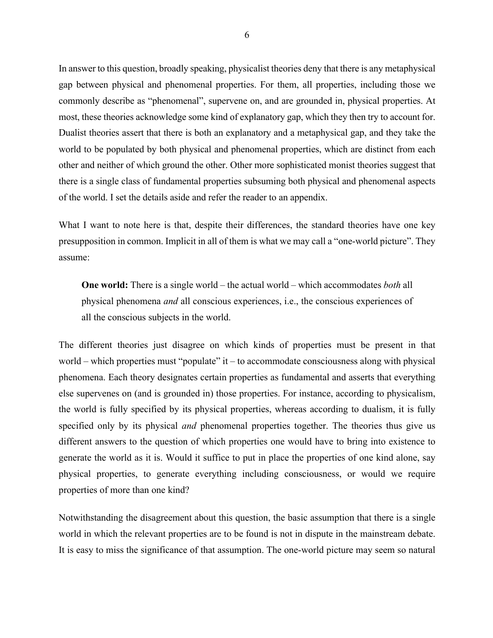In answer to this question, broadly speaking, physicalist theories deny that there is any metaphysical gap between physical and phenomenal properties. For them, all properties, including those we commonly describe as "phenomenal", supervene on, and are grounded in, physical properties. At most, these theories acknowledge some kind of explanatory gap, which they then try to account for. Dualist theories assert that there is both an explanatory and a metaphysical gap, and they take the world to be populated by both physical and phenomenal properties, which are distinct from each other and neither of which ground the other. Other more sophisticated monist theories suggest that there is a single class of fundamental properties subsuming both physical and phenomenal aspects of the world. I set the details aside and refer the reader to an appendix.

What I want to note here is that, despite their differences, the standard theories have one key presupposition in common. Implicit in all of them is what we may call a "one-world picture". They assume:

**One world:** There is a single world – the actual world – which accommodates *both* all physical phenomena *and* all conscious experiences, i.e., the conscious experiences of all the conscious subjects in the world.

The different theories just disagree on which kinds of properties must be present in that world – which properties must "populate" it – to accommodate consciousness along with physical phenomena. Each theory designates certain properties as fundamental and asserts that everything else supervenes on (and is grounded in) those properties. For instance, according to physicalism, the world is fully specified by its physical properties, whereas according to dualism, it is fully specified only by its physical *and* phenomenal properties together. The theories thus give us different answers to the question of which properties one would have to bring into existence to generate the world as it is. Would it suffice to put in place the properties of one kind alone, say physical properties, to generate everything including consciousness, or would we require properties of more than one kind?

Notwithstanding the disagreement about this question, the basic assumption that there is a single world in which the relevant properties are to be found is not in dispute in the mainstream debate. It is easy to miss the significance of that assumption. The one-world picture may seem so natural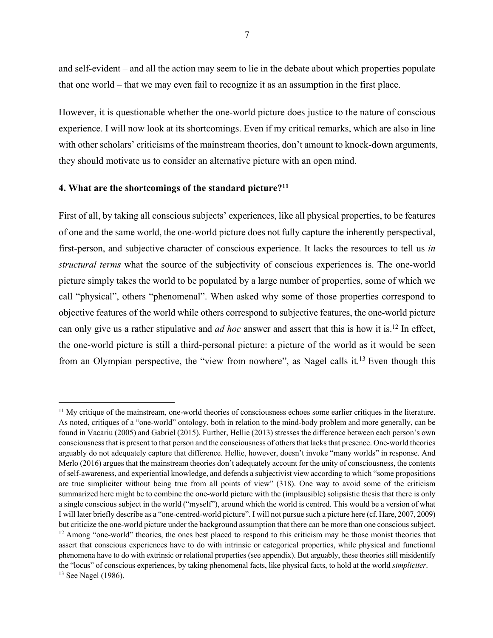and self-evident – and all the action may seem to lie in the debate about which properties populate that one world – that we may even fail to recognize it as an assumption in the first place.

However, it is questionable whether the one-world picture does justice to the nature of conscious experience. I will now look at its shortcomings. Even if my critical remarks, which are also in line with other scholars' criticisms of the mainstream theories, don't amount to knock-down arguments, they should motivate us to consider an alternative picture with an open mind.

## **4. What are the shortcomings of the standard picture?11**

First of all, by taking all conscious subjects' experiences, like all physical properties, to be features of one and the same world, the one-world picture does not fully capture the inherently perspectival, first-person, and subjective character of conscious experience. It lacks the resources to tell us *in structural terms* what the source of the subjectivity of conscious experiences is. The one-world picture simply takes the world to be populated by a large number of properties, some of which we call "physical", others "phenomenal". When asked why some of those properties correspond to objective features of the world while others correspond to subjective features, the one-world picture can only give us a rather stipulative and *ad hoc* answer and assert that this is how it is.12 In effect, the one-world picture is still a third-personal picture: a picture of the world as it would be seen from an Olympian perspective, the "view from nowhere", as Nagel calls it.<sup>13</sup> Even though this

<sup>&</sup>lt;sup>11</sup> My critique of the mainstream, one-world theories of consciousness echoes some earlier critiques in the literature. As noted, critiques of a "one-world" ontology, both in relation to the mind-body problem and more generally, can be found in Vacariu (2005) and Gabriel (2015). Further, Hellie (2013) stresses the difference between each person's own consciousness that is present to that person and the consciousness of others that lacks that presence. One-world theories arguably do not adequately capture that difference. Hellie, however, doesn't invoke "many worlds" in response. And Merlo (2016) argues that the mainstream theories don't adequately account for the unity of consciousness, the contents of self-awareness, and experiential knowledge, and defends a subjectivist view according to which "some propositions are true simpliciter without being true from all points of view" (318). One way to avoid some of the criticism summarized here might be to combine the one-world picture with the (implausible) solipsistic thesis that there is only a single conscious subject in the world ("myself"), around which the world is centred. This would be a version of what I will later briefly describe as a "one-centred-world picture". I will not pursue such a picture here (cf. Hare, 2007, 2009) but criticize the one-world picture under the background assumption that there can be more than one conscious subject.<br><sup>12</sup> Among "one-world" theories, the ones best placed to respond to this criticism may be those monist assert that conscious experiences have to do with intrinsic or categorical properties, while physical and functional phenomena have to do with extrinsic or relational properties (see appendix). But arguably, these theories still misidentify the "locus" of conscious experiences, by taking phenomenal facts, like physical facts, to hold at the world *simpliciter*. <sup>13</sup> See Nagel (1986).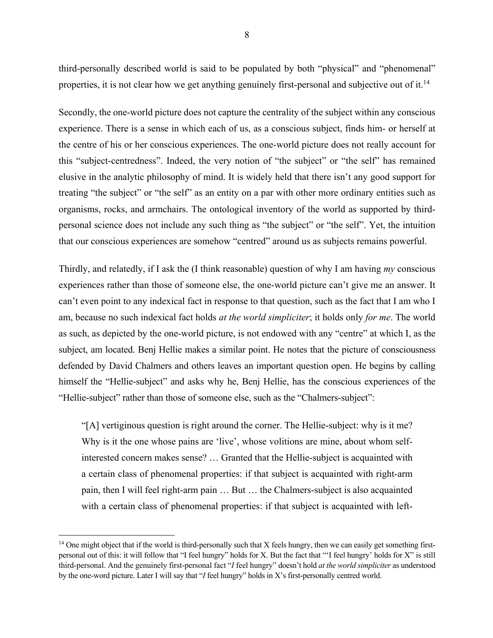third-personally described world is said to be populated by both "physical" and "phenomenal" properties, it is not clear how we get anything genuinely first-personal and subjective out of it.<sup>14</sup>

Secondly, the one-world picture does not capture the centrality of the subject within any conscious experience. There is a sense in which each of us, as a conscious subject, finds him- or herself at the centre of his or her conscious experiences. The one-world picture does not really account for this "subject-centredness". Indeed, the very notion of "the subject" or "the self" has remained elusive in the analytic philosophy of mind. It is widely held that there isn't any good support for treating "the subject" or "the self" as an entity on a par with other more ordinary entities such as organisms, rocks, and armchairs. The ontological inventory of the world as supported by thirdpersonal science does not include any such thing as "the subject" or "the self". Yet, the intuition that our conscious experiences are somehow "centred" around us as subjects remains powerful.

Thirdly, and relatedly, if I ask the (I think reasonable) question of why I am having *my* conscious experiences rather than those of someone else, the one-world picture can't give me an answer. It can't even point to any indexical fact in response to that question, such as the fact that I am who I am, because no such indexical fact holds *at the world simpliciter*; it holds only *for me*. The world as such, as depicted by the one-world picture, is not endowed with any "centre" at which I, as the subject, am located. Benj Hellie makes a similar point. He notes that the picture of consciousness defended by David Chalmers and others leaves an important question open. He begins by calling himself the "Hellie-subject" and asks why he, Benj Hellie, has the conscious experiences of the "Hellie-subject" rather than those of someone else, such as the "Chalmers-subject":

"[A] vertiginous question is right around the corner. The Hellie-subject: why is it me? Why is it the one whose pains are 'live', whose volitions are mine, about whom selfinterested concern makes sense? … Granted that the Hellie-subject is acquainted with a certain class of phenomenal properties: if that subject is acquainted with right-arm pain, then I will feel right-arm pain … But … the Chalmers-subject is also acquainted with a certain class of phenomenal properties: if that subject is acquainted with left-

 $14$  One might object that if the world is third-personally such that X feels hungry, then we can easily get something firstpersonal out of this: it will follow that "I feel hungry" holds for X. But the fact that "'I feel hungry' holds for X" is still third-personal. And the genuinely first-personal fact "*I* feel hungry" doesn't hold *at the world simpliciter* as understood by the one-word picture. Later I will say that "*I* feel hungry" holds in X's first-personally centred world.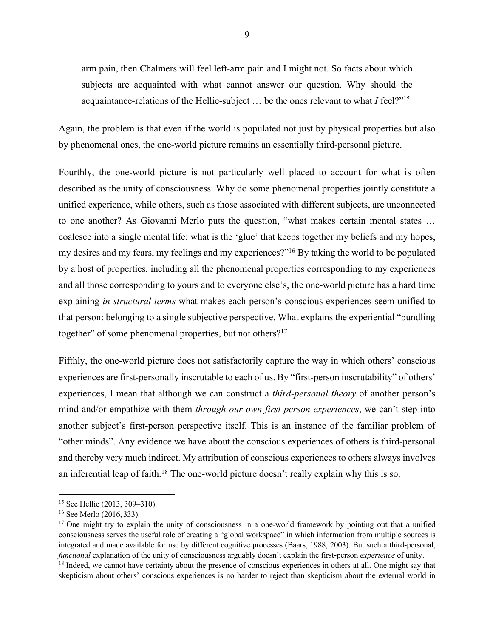arm pain, then Chalmers will feel left-arm pain and I might not. So facts about which subjects are acquainted with what cannot answer our question. Why should the acquaintance-relations of the Hellie-subject … be the ones relevant to what *I* feel?"15

Again, the problem is that even if the world is populated not just by physical properties but also by phenomenal ones, the one-world picture remains an essentially third-personal picture.

Fourthly, the one-world picture is not particularly well placed to account for what is often described as the unity of consciousness. Why do some phenomenal properties jointly constitute a unified experience, while others, such as those associated with different subjects, are unconnected to one another? As Giovanni Merlo puts the question, "what makes certain mental states … coalesce into a single mental life: what is the 'glue' that keeps together my beliefs and my hopes, my desires and my fears, my feelings and my experiences?"16 By taking the world to be populated by a host of properties, including all the phenomenal properties corresponding to my experiences and all those corresponding to yours and to everyone else's, the one-world picture has a hard time explaining *in structural terms* what makes each person's conscious experiences seem unified to that person: belonging to a single subjective perspective. What explains the experiential "bundling together" of some phenomenal properties, but not others?<sup>17</sup>

Fifthly, the one-world picture does not satisfactorily capture the way in which others' conscious experiences are first-personally inscrutable to each of us. By "first-person inscrutability" of others' experiences, I mean that although we can construct a *third-personal theory* of another person's mind and/or empathize with them *through our own first-person experiences*, we can't step into another subject's first-person perspective itself. This is an instance of the familiar problem of "other minds". Any evidence we have about the conscious experiences of others is third-personal and thereby very much indirect. My attribution of conscious experiences to others always involves an inferential leap of faith.<sup>18</sup> The one-world picture doesn't really explain why this is so.

<sup>15</sup> See Hellie (2013, 309–310).

<sup>16</sup> See Merlo (2016,333).

<sup>&</sup>lt;sup>17</sup> One might try to explain the unity of consciousness in a one-world framework by pointing out that a unified consciousness serves the useful role of creating a "global workspace" in which information from multiple sources is integrated and made available for use by different cognitive processes (Baars, 1988, 2003). But such a third-personal, *functional* explanation of the unity of consciousness arguably doesn't explain the first-person *experience* of unity.

<sup>&</sup>lt;sup>18</sup> Indeed, we cannot have certainty about the presence of conscious experiences in others at all. One might say that skepticism about others' conscious experiences is no harder to reject than skepticism about the external world in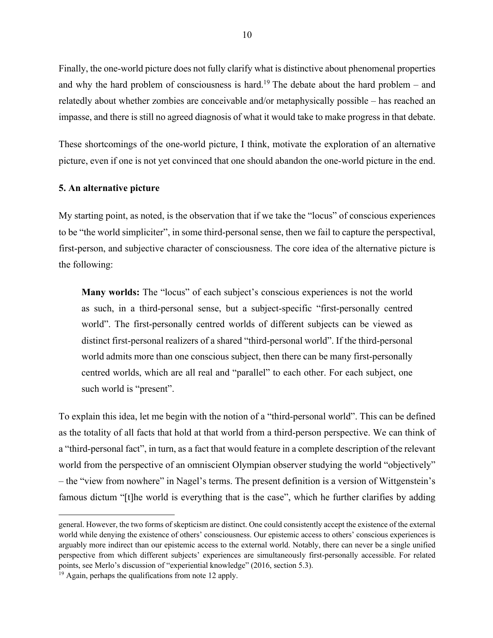Finally, the one-world picture does not fully clarify what is distinctive about phenomenal properties and why the hard problem of consciousness is hard.<sup>19</sup> The debate about the hard problem – and relatedly about whether zombies are conceivable and/or metaphysically possible – has reached an impasse, and there is still no agreed diagnosis of what it would take to make progress in that debate.

These shortcomings of the one-world picture, I think, motivate the exploration of an alternative picture, even if one is not yet convinced that one should abandon the one-world picture in the end.

## **5. An alternative picture**

My starting point, as noted, is the observation that if we take the "locus" of conscious experiences to be "the world simpliciter", in some third-personal sense, then we fail to capture the perspectival, first-person, and subjective character of consciousness. The core idea of the alternative picture is the following:

**Many worlds:** The "locus" of each subject's conscious experiences is not the world as such, in a third-personal sense, but a subject-specific "first-personally centred world". The first-personally centred worlds of different subjects can be viewed as distinct first-personal realizers of a shared "third-personal world". If the third-personal world admits more than one conscious subject, then there can be many first-personally centred worlds, which are all real and "parallel" to each other. For each subject, one such world is "present".

To explain this idea, let me begin with the notion of a "third-personal world". This can be defined as the totality of all facts that hold at that world from a third-person perspective. We can think of a "third-personal fact", in turn, as a fact that would feature in a complete description of the relevant world from the perspective of an omniscient Olympian observer studying the world "objectively" – the "view from nowhere" in Nagel's terms. The present definition is a version of Wittgenstein's famous dictum "[t]he world is everything that is the case", which he further clarifies by adding

general. However, the two forms of skepticism are distinct. One could consistently accept the existence of the external world while denying the existence of others' consciousness. Our epistemic access to others' conscious experiences is arguably more indirect than our epistemic access to the external world. Notably, there can never be a single unified perspective from which different subjects' experiences are simultaneously first-personally accessible. For related points, see Merlo's discussion of "experiential knowledge" (2016, section 5.3).

 $19$  Again, perhaps the qualifications from note 12 apply.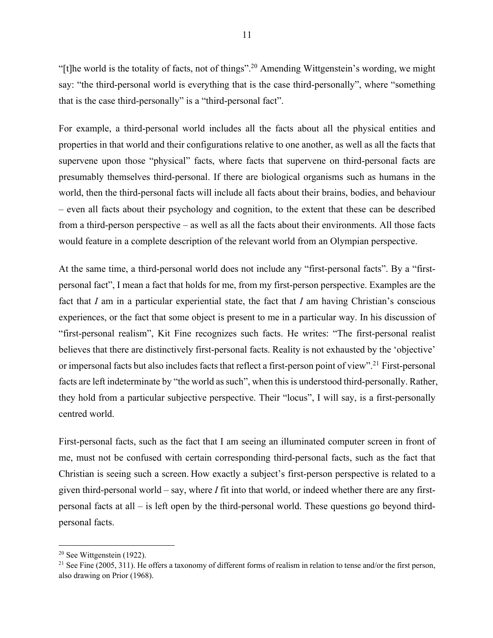"[t]he world is the totality of facts, not of things".<sup>20</sup> Amending Wittgenstein's wording, we might say: "the third-personal world is everything that is the case third-personally", where "something that is the case third-personally" is a "third-personal fact".

For example, a third-personal world includes all the facts about all the physical entities and properties in that world and their configurations relative to one another, as well as all the facts that supervene upon those "physical" facts, where facts that supervene on third-personal facts are presumably themselves third-personal. If there are biological organisms such as humans in the world, then the third-personal facts will include all facts about their brains, bodies, and behaviour – even all facts about their psychology and cognition, to the extent that these can be described from a third-person perspective – as well as all the facts about their environments. All those facts would feature in a complete description of the relevant world from an Olympian perspective.

At the same time, a third-personal world does not include any "first-personal facts". By a "firstpersonal fact", I mean a fact that holds for me, from my first-person perspective. Examples are the fact that *I* am in a particular experiential state, the fact that *I* am having Christian's conscious experiences, or the fact that some object is present to me in a particular way. In his discussion of "first-personal realism", Kit Fine recognizes such facts. He writes: "The first‐personal realist believes that there are distinctively first-personal facts. Reality is not exhausted by the 'objective' or impersonal facts but also includes facts that reflect a first-person point of view".<sup>21</sup> First-personal facts are left indeterminate by "the world as such", when this is understood third-personally. Rather, they hold from a particular subjective perspective. Their "locus", I will say, is a first-personally centred world.

First-personal facts, such as the fact that I am seeing an illuminated computer screen in front of me, must not be confused with certain corresponding third-personal facts, such as the fact that Christian is seeing such a screen. How exactly a subject's first-person perspective is related to a given third-personal world – say, where *I* fit into that world, or indeed whether there are any firstpersonal facts at all – is left open by the third-personal world. These questions go beyond thirdpersonal facts.

<sup>20</sup> See Wittgenstein (1922).

<sup>&</sup>lt;sup>21</sup> See Fine (2005, 311). He offers a taxonomy of different forms of realism in relation to tense and/or the first person, also drawing on Prior (1968).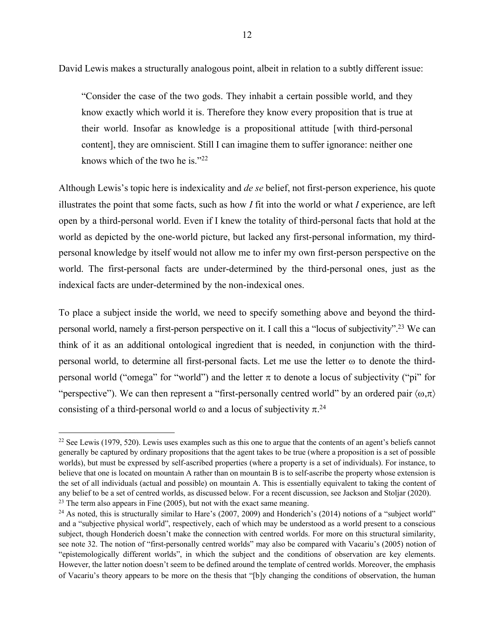David Lewis makes a structurally analogous point, albeit in relation to a subtly different issue:

"Consider the case of the two gods. They inhabit a certain possible world, and they know exactly which world it is. Therefore they know every proposition that is true at their world. Insofar as knowledge is a propositional attitude [with third-personal content], they are omniscient. Still I can imagine them to suffer ignorance: neither one knows which of the two he is."22

Although Lewis's topic here is indexicality and *de se* belief, not first-person experience, his quote illustrates the point that some facts, such as how *I* fit into the world or what *I* experience, are left open by a third-personal world. Even if I knew the totality of third-personal facts that hold at the world as depicted by the one-world picture, but lacked any first-personal information, my thirdpersonal knowledge by itself would not allow me to infer my own first-person perspective on the world. The first-personal facts are under-determined by the third-personal ones, just as the indexical facts are under-determined by the non-indexical ones.

To place a subject inside the world, we need to specify something above and beyond the thirdpersonal world, namely a first-person perspective on it. I call this a "locus of subjectivity".23 We can think of it as an additional ontological ingredient that is needed, in conjunction with the thirdpersonal world, to determine all first-personal facts. Let me use the letter  $\omega$  to denote the thirdpersonal world ("omega" for "world") and the letter  $\pi$  to denote a locus of subjectivity ("pi" for "perspective"). We can then represent a "first-personally centred world" by an ordered pair  $\langle \omega, \pi \rangle$ consisting of a third-personal world  $\omega$  and a locus of subjectivity  $\pi^{24}$ 

<sup>&</sup>lt;sup>22</sup> See Lewis (1979, 520). Lewis uses examples such as this one to argue that the contents of an agent's beliefs cannot generally be captured by ordinary propositions that the agent takes to be true (where a proposition is a set of possible worlds), but must be expressed by self-ascribed properties (where a property is a set of individuals). For instance, to believe that one is located on mountain A rather than on mountain B is to self-ascribe the property whose extension is the set of all individuals (actual and possible) on mountain A. This is essentially equivalent to taking the content of any belief to be a set of centred worlds, as discussed below. For a recent discussion, see Jackson and Stoljar (2020).  $23$  The term also appears in Fine (2005), but not with the exact same meaning.

 $24$  As noted, this is structurally similar to Hare's (2007, 2009) and Honderich's (2014) notions of a "subject world" and a "subjective physical world", respectively, each of which may be understood as a world present to a conscious subject, though Honderich doesn't make the connection with centred worlds. For more on this structural similarity, see note 32. The notion of "first-personally centred worlds" may also be compared with Vacariu's (2005) notion of "epistemologically different worlds", in which the subject and the conditions of observation are key elements. However, the latter notion doesn't seem to be defined around the template of centred worlds. Moreover, the emphasis of Vacariu's theory appears to be more on the thesis that "[b]y changing the conditions of observation, the human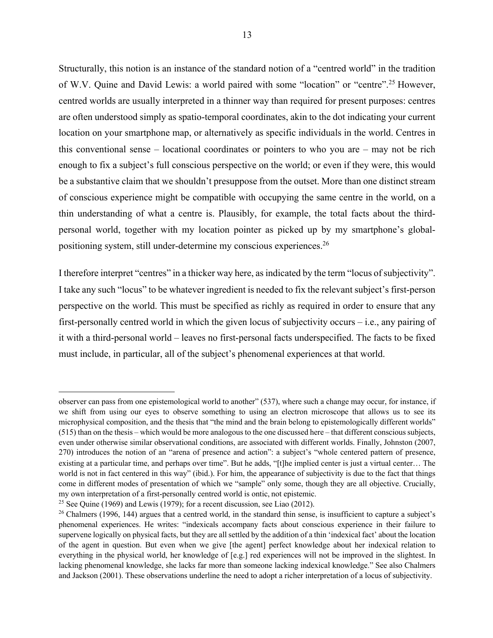Structurally, this notion is an instance of the standard notion of a "centred world" in the tradition of W.V. Quine and David Lewis: a world paired with some "location" or "centre".25 However, centred worlds are usually interpreted in a thinner way than required for present purposes: centres are often understood simply as spatio-temporal coordinates, akin to the dot indicating your current location on your smartphone map, or alternatively as specific individuals in the world. Centres in this conventional sense – locational coordinates or pointers to who you are – may not be rich enough to fix a subject's full conscious perspective on the world; or even if they were, this would be a substantive claim that we shouldn't presuppose from the outset. More than one distinct stream of conscious experience might be compatible with occupying the same centre in the world, on a thin understanding of what a centre is. Plausibly, for example, the total facts about the thirdpersonal world, together with my location pointer as picked up by my smartphone's globalpositioning system, still under-determine my conscious experiences.26

I therefore interpret "centres" in a thicker way here, as indicated by the term "locus of subjectivity". I take any such "locus" to be whatever ingredient is needed to fix the relevant subject's first-person perspective on the world. This must be specified as richly as required in order to ensure that any first-personally centred world in which the given locus of subjectivity occurs – i.e., any pairing of it with a third-personal world – leaves no first-personal facts underspecified. The facts to be fixed must include, in particular, all of the subject's phenomenal experiences at that world.

observer can pass from one epistemological world to another" (537), where such a change may occur, for instance, if we shift from using our eyes to observe something to using an electron microscope that allows us to see its microphysical composition, and the thesis that "the mind and the brain belong to epistemologically different worlds" (515) than on the thesis – which would be more analogous to the one discussed here – that different conscious subjects, even under otherwise similar observational conditions, are associated with different worlds. Finally, Johnston (2007, 270) introduces the notion of an "arena of presence and action": a subject's "whole centered pattern of presence, existing at a particular time, and perhaps over time". But he adds, "[t]he implied center is just a virtual center… The world is not in fact centered in this way" (ibid.). For him, the appearance of subjectivity is due to the fact that things come in different modes of presentation of which we "sample" only some, though they are all objective. Crucially, my own interpretation of a first-personally centred world is ontic, not epistemic.

<sup>&</sup>lt;sup>25</sup> See Quine (1969) and Lewis (1979); for a recent discussion, see Liao (2012).

<sup>&</sup>lt;sup>26</sup> Chalmers (1996, 144) argues that a centred world, in the standard thin sense, is insufficient to capture a subject's phenomenal experiences. He writes: "indexicals accompany facts about conscious experience in their failure to supervene logically on physical facts, but they are all settled by the addition of a thin 'indexical fact' about the location of the agent in question. But even when we give [the agent] perfect knowledge about her indexical relation to everything in the physical world, her knowledge of [e.g.] red experiences will not be improved in the slightest. In lacking phenomenal knowledge, she lacks far more than someone lacking indexical knowledge." See also Chalmers and Jackson (2001). These observations underline the need to adopt a richer interpretation of a locus of subjectivity.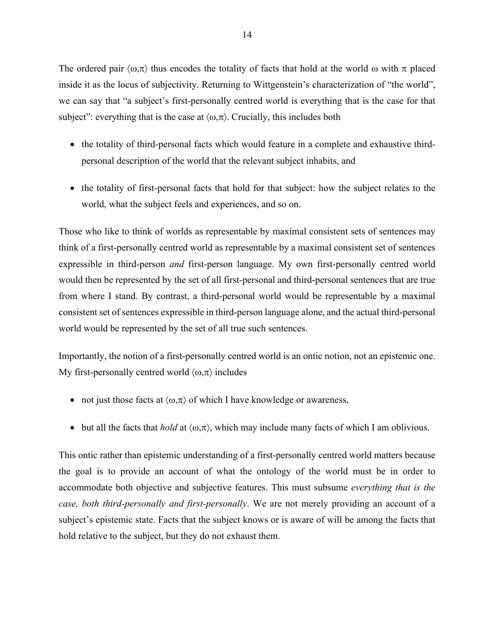The ordered pair  $\langle \omega,\pi \rangle$  thus encodes the totality of facts that hold at the world  $\omega$  with  $\pi$  placed inside it as the locus of subjectivity. Returning to Wittgenstein's characterization of "the world", we can say that "a subject's first-personally centred world is everything that is the case for that subject": everything that is the case at  $\langle \omega, \pi \rangle$ . Crucially, this includes both

- the totality of third-personal facts which would feature in a complete and exhaustive thirdpersonal description of the world that the relevant subject inhabits, and
- the totality of first-personal facts that hold for that subject: how the subject relates to the world, what the subject feels and experiences, and so on.

Those who like to think of worlds as representable by maximal consistent sets of sentences may think of a first-personally centred world as representable by a maximal consistent set of sentences expressible in third-person *and* first-person language. My own first-personally centred world would then be represented by the set of all first-personal and third-personal sentences that are true from where I stand. By contrast, a third-personal world would be representable by a maximal consistent set of sentences expressible in third-person language alone, and the actual third-personal world would be represented by the set of all true such sentences.

Importantly, the notion of a first-personally centred world is an ontic notion, not an epistemic one. My first-personally centred world  $\langle \omega, \pi \rangle$  includes

- not just those facts at  $\langle \omega, \pi \rangle$  of which I have knowledge or awareness,
- but all the facts that *hold* at  $\langle \omega, \pi \rangle$ , which may include many facts of which I am oblivious.

This ontic rather than epistemic understanding of a first-personally centred world matters because the goal is to provide an account of what the ontology of the world must be in order to accommodate both objective and subjective features. This must subsume *everything that is the case, both third-personally and first-personally*. We are not merely providing an account of a subject's epistemic state. Facts that the subject knows or is aware of will be among the facts that hold relative to the subject, but they do not exhaust them.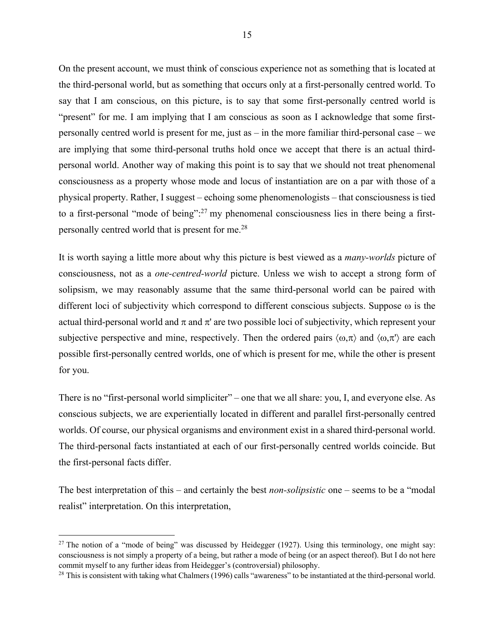On the present account, we must think of conscious experience not as something that is located at the third-personal world, but as something that occurs only at a first-personally centred world. To say that I am conscious, on this picture, is to say that some first-personally centred world is "present" for me. I am implying that I am conscious as soon as I acknowledge that some firstpersonally centred world is present for me, just as – in the more familiar third-personal case – we are implying that some third-personal truths hold once we accept that there is an actual thirdpersonal world. Another way of making this point is to say that we should not treat phenomenal consciousness as a property whose mode and locus of instantiation are on a par with those of a physical property. Rather, I suggest – echoing some phenomenologists – that consciousness is tied to a first-personal "mode of being":<sup>27</sup> my phenomenal consciousness lies in there being a firstpersonally centred world that is present for me.28

It is worth saying a little more about why this picture is best viewed as a *many-worlds* picture of consciousness, not as a *one-centred-world* picture. Unless we wish to accept a strong form of solipsism, we may reasonably assume that the same third-personal world can be paired with different loci of subjectivity which correspond to different conscious subjects. Suppose  $\omega$  is the actual third-personal world and  $\pi$  and  $\pi'$  are two possible loci of subjectivity, which represent your subjective perspective and mine, respectively. Then the ordered pairs  $\langle \omega, \pi \rangle$  and  $\langle \omega, \pi \rangle$  are each possible first-personally centred worlds, one of which is present for me, while the other is present for you.

There is no "first-personal world simpliciter" – one that we all share: you, I, and everyone else. As conscious subjects, we are experientially located in different and parallel first-personally centred worlds. Of course, our physical organisms and environment exist in a shared third-personal world. The third-personal facts instantiated at each of our first-personally centred worlds coincide. But the first-personal facts differ.

The best interpretation of this – and certainly the best *non-solipsistic* one – seems to be a "modal realist" interpretation. On this interpretation,

<sup>&</sup>lt;sup>27</sup> The notion of a "mode of being" was discussed by Heidegger (1927). Using this terminology, one might say: consciousness is not simply a property of a being, but rather a mode of being (or an aspect thereof). But I do not here commit myself to any further ideas from Heidegger's (controversial) philosophy.

 $28$  This is consistent with taking what Chalmers (1996) calls "awareness" to be instantiated at the third-personal world.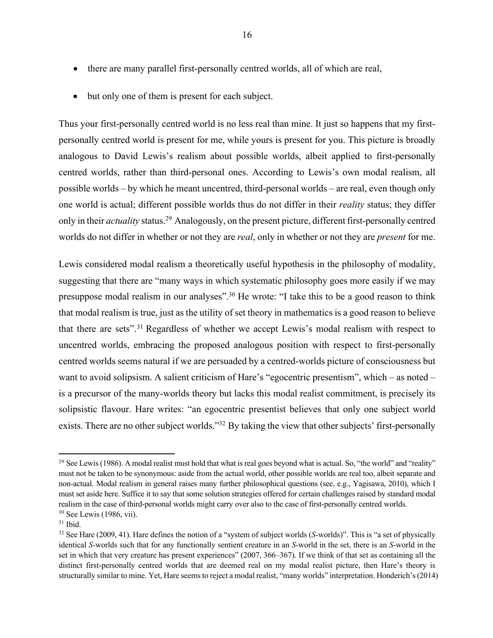• but only one of them is present for each subject.

Thus your first-personally centred world is no less real than mine. It just so happens that my firstpersonally centred world is present for me, while yours is present for you. This picture is broadly analogous to David Lewis's realism about possible worlds, albeit applied to first-personally centred worlds, rather than third-personal ones. According to Lewis's own modal realism, all possible worlds – by which he meant uncentred, third-personal worlds – are real, even though only one world is actual; different possible worlds thus do not differ in their *reality* status; they differ only in their *actuality* status.29 Analogously, on the present picture, different first-personally centred worlds do not differ in whether or not they are *real*, only in whether or not they are *present* for me.

Lewis considered modal realism a theoretically useful hypothesis in the philosophy of modality, suggesting that there are "many ways in which systematic philosophy goes more easily if we may presuppose modal realism in our analyses".<sup>30</sup> He wrote: "I take this to be a good reason to think that modal realism is true, just as the utility of set theory in mathematics is a good reason to believe that there are sets".<sup>31</sup> Regardless of whether we accept Lewis's modal realism with respect to uncentred worlds, embracing the proposed analogous position with respect to first-personally centred worlds seems natural if we are persuaded by a centred-worlds picture of consciousness but want to avoid solipsism. A salient criticism of Hare's "egocentric presentism", which – as noted – is a precursor of the many-worlds theory but lacks this modal realist commitment, is precisely its solipsistic flavour. Hare writes: "an egocentric presentist believes that only one subject world exists. There are no other subject worlds."32 By taking the view that other subjects' first-personally

<sup>&</sup>lt;sup>29</sup> See Lewis (1986). A modal realist must hold that what is real goes beyond what is actual. So, "the world" and "reality" must not be taken to be synonymous: aside from the actual world, other possible worlds are real too, albeit separate and non-actual. Modal realism in general raises many further philosophical questions (see, e.g., Yagisawa, 2010), which I must set aside here. Suffice it to say that some solution strategies offered for certain challenges raised by standard modal realism in the case of third-personal worlds might carry over also to the case of first-personally centred worlds. <sup>30</sup> See Lewis (1986, vii).

 $31$  Ibid.

<sup>32</sup> See Hare (2009, 41). Hare defines the notion of a "system of subject worlds (*S*-worlds)". This is "a set of physically identical *S*-worlds such that for any functionally sentient creature in an *S*-world in the set, there is an *S*-world in the set in which that very creature has present experiences" (2007, 366–367). If we think of that set as containing all the distinct first-personally centred worlds that are deemed real on my modal realist picture, then Hare's theory is structurally similar to mine. Yet, Hare seems to reject a modal realist, "many worlds" interpretation. Honderich's (2014)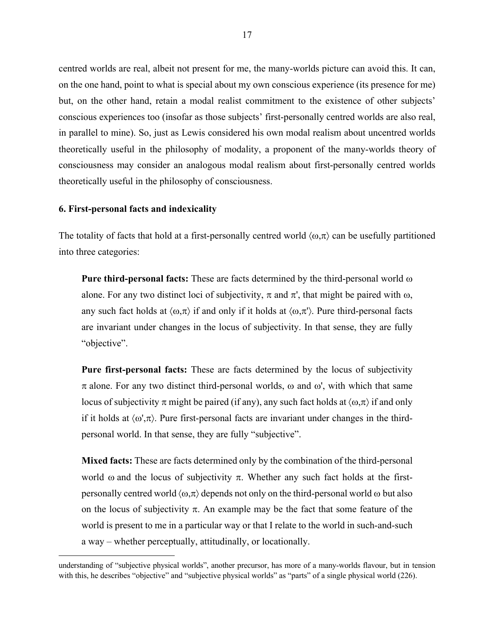centred worlds are real, albeit not present for me, the many-worlds picture can avoid this. It can, on the one hand, point to what is special about my own conscious experience (its presence for me) but, on the other hand, retain a modal realist commitment to the existence of other subjects' conscious experiences too (insofar as those subjects' first-personally centred worlds are also real, in parallel to mine). So, just as Lewis considered his own modal realism about uncentred worlds theoretically useful in the philosophy of modality, a proponent of the many-worlds theory of consciousness may consider an analogous modal realism about first-personally centred worlds theoretically useful in the philosophy of consciousness.

## **6. First-personal facts and indexicality**

The totality of facts that hold at a first-personally centred world  $\langle \omega, \pi \rangle$  can be usefully partitioned into three categories:

**Pure third-personal facts:** These are facts determined by the third-personal world  $\omega$ alone. For any two distinct loci of subjectivity,  $\pi$  and  $\pi'$ , that might be paired with  $\omega$ , any such fact holds at  $\langle \omega,\pi \rangle$  if and only if it holds at  $\langle \omega,\pi \rangle$ . Pure third-personal facts are invariant under changes in the locus of subjectivity. In that sense, they are fully "objective".

**Pure first-personal facts:** These are facts determined by the locus of subjectivity  $\pi$  alone. For any two distinct third-personal worlds,  $\omega$  and  $\omega'$ , with which that same locus of subjectivity  $\pi$  might be paired (if any), any such fact holds at  $\langle \omega, \pi \rangle$  if and only if it holds at  $\langle \omega', \pi \rangle$ . Pure first-personal facts are invariant under changes in the thirdpersonal world. In that sense, they are fully "subjective".

**Mixed facts:** These are facts determined only by the combination of the third-personal world  $\omega$  and the locus of subjectivity  $\pi$ . Whether any such fact holds at the firstpersonally centred world  $\langle \omega, \pi \rangle$  depends not only on the third-personal world  $\omega$  but also on the locus of subjectivity  $\pi$ . An example may be the fact that some feature of the world is present to me in a particular way or that I relate to the world in such-and-such a way – whether perceptually, attitudinally, or locationally.

understanding of "subjective physical worlds", another precursor, has more of a many-worlds flavour, but in tension with this, he describes "objective" and "subjective physical worlds" as "parts" of a single physical world (226).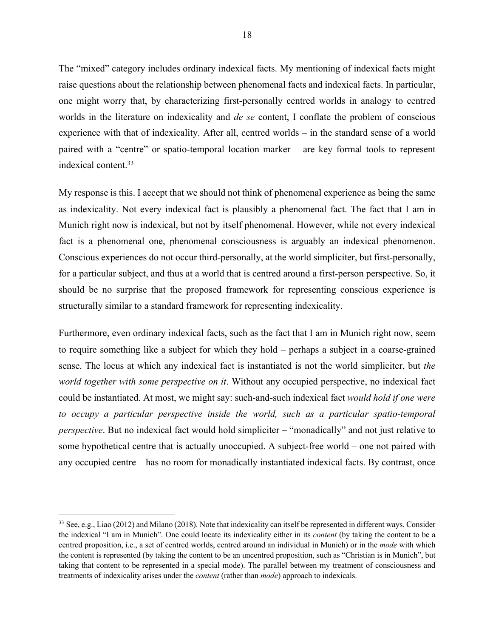The "mixed" category includes ordinary indexical facts. My mentioning of indexical facts might raise questions about the relationship between phenomenal facts and indexical facts. In particular, one might worry that, by characterizing first-personally centred worlds in analogy to centred worlds in the literature on indexicality and *de se* content, I conflate the problem of conscious experience with that of indexicality. After all, centred worlds – in the standard sense of a world paired with a "centre" or spatio-temporal location marker – are key formal tools to represent indexical content. 33

My response is this. I accept that we should not think of phenomenal experience as being the same as indexicality. Not every indexical fact is plausibly a phenomenal fact. The fact that I am in Munich right now is indexical, but not by itself phenomenal. However, while not every indexical fact is a phenomenal one, phenomenal consciousness is arguably an indexical phenomenon. Conscious experiences do not occur third-personally, at the world simpliciter, but first-personally, for a particular subject, and thus at a world that is centred around a first-person perspective. So, it should be no surprise that the proposed framework for representing conscious experience is structurally similar to a standard framework for representing indexicality.

Furthermore, even ordinary indexical facts, such as the fact that I am in Munich right now, seem to require something like a subject for which they hold – perhaps a subject in a coarse-grained sense. The locus at which any indexical fact is instantiated is not the world simpliciter, but *the world together with some perspective on it*. Without any occupied perspective, no indexical fact could be instantiated. At most, we might say: such-and-such indexical fact *would hold if one were to occupy a particular perspective inside the world, such as a particular spatio-temporal perspective*. But no indexical fact would hold simpliciter – "monadically" and not just relative to some hypothetical centre that is actually unoccupied. A subject-free world – one not paired with any occupied centre – has no room for monadically instantiated indexical facts. By contrast, once

<sup>&</sup>lt;sup>33</sup> See, e.g., Liao (2012) and Milano (2018). Note that indexicality can itself be represented in different ways. Consider the indexical "I am in Munich". One could locate its indexicality either in its *content* (by taking the content to be a centred proposition, i.e., a set of centred worlds, centred around an individual in Munich) or in the *mode* with which the content is represented (by taking the content to be an uncentred proposition, such as "Christian is in Munich", but taking that content to be represented in a special mode). The parallel between my treatment of consciousness and treatments of indexicality arises under the *content* (rather than *mode*) approach to indexicals.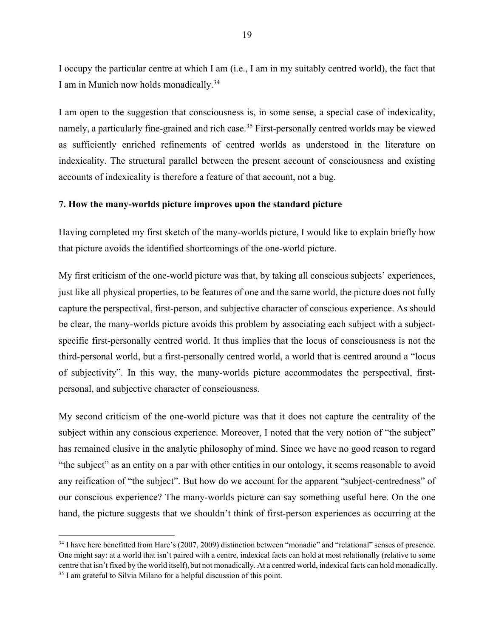I occupy the particular centre at which I am (i.e., I am in my suitably centred world), the fact that I am in Munich now holds monadically.34

I am open to the suggestion that consciousness is, in some sense, a special case of indexicality, namely, a particularly fine-grained and rich case.<sup>35</sup> First-personally centred worlds may be viewed as sufficiently enriched refinements of centred worlds as understood in the literature on indexicality. The structural parallel between the present account of consciousness and existing accounts of indexicality is therefore a feature of that account, not a bug.

#### **7. How the many-worlds picture improves upon the standard picture**

Having completed my first sketch of the many-worlds picture, I would like to explain briefly how that picture avoids the identified shortcomings of the one-world picture.

My first criticism of the one-world picture was that, by taking all conscious subjects' experiences, just like all physical properties, to be features of one and the same world, the picture does not fully capture the perspectival, first-person, and subjective character of conscious experience. As should be clear, the many-worlds picture avoids this problem by associating each subject with a subjectspecific first-personally centred world. It thus implies that the locus of consciousness is not the third-personal world, but a first-personally centred world, a world that is centred around a "locus of subjectivity". In this way, the many-worlds picture accommodates the perspectival, firstpersonal, and subjective character of consciousness.

My second criticism of the one-world picture was that it does not capture the centrality of the subject within any conscious experience. Moreover, I noted that the very notion of "the subject" has remained elusive in the analytic philosophy of mind. Since we have no good reason to regard "the subject" as an entity on a par with other entities in our ontology, it seems reasonable to avoid any reification of "the subject". But how do we account for the apparent "subject-centredness" of our conscious experience? The many-worlds picture can say something useful here. On the one hand, the picture suggests that we shouldn't think of first-person experiences as occurring at the

<sup>&</sup>lt;sup>34</sup> I have here benefitted from Hare's (2007, 2009) distinction between "monadic" and "relational" senses of presence. One might say: at a world that isn't paired with a centre, indexical facts can hold at most relationally (relative to some centre that isn't fixed by the world itself), but not monadically. At a centred world, indexical facts can hold monadically. <sup>35</sup> I am grateful to Silvia Milano for a helpful discussion of this point.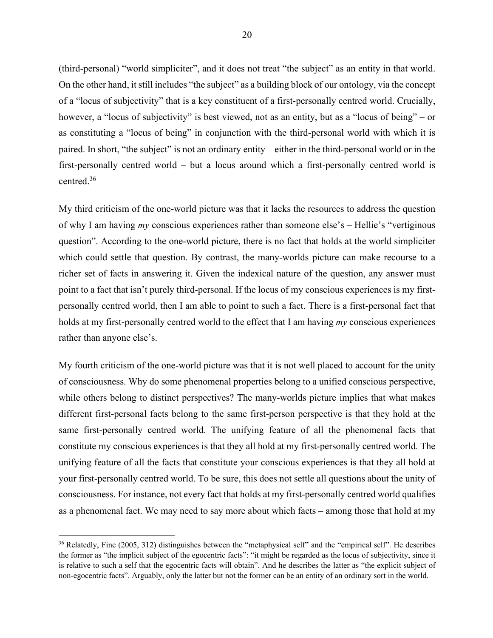(third-personal) "world simpliciter", and it does not treat "the subject" as an entity in that world. On the other hand, it still includes "the subject" as a building block of our ontology, via the concept of a "locus of subjectivity" that is a key constituent of a first-personally centred world. Crucially, however, a "locus of subjectivity" is best viewed, not as an entity, but as a "locus of being" – or as constituting a "locus of being" in conjunction with the third-personal world with which it is paired. In short, "the subject" is not an ordinary entity – either in the third-personal world or in the first-personally centred world – but a locus around which a first-personally centred world is centred. 36

My third criticism of the one-world picture was that it lacks the resources to address the question of why I am having *my* conscious experiences rather than someone else's – Hellie's "vertiginous question". According to the one-world picture, there is no fact that holds at the world simpliciter which could settle that question. By contrast, the many-worlds picture can make recourse to a richer set of facts in answering it. Given the indexical nature of the question, any answer must point to a fact that isn't purely third-personal. If the locus of my conscious experiences is my firstpersonally centred world, then I am able to point to such a fact. There is a first-personal fact that holds at my first-personally centred world to the effect that I am having *my* conscious experiences rather than anyone else's.

My fourth criticism of the one-world picture was that it is not well placed to account for the unity of consciousness. Why do some phenomenal properties belong to a unified conscious perspective, while others belong to distinct perspectives? The many-worlds picture implies that what makes different first-personal facts belong to the same first-person perspective is that they hold at the same first-personally centred world. The unifying feature of all the phenomenal facts that constitute my conscious experiences is that they all hold at my first-personally centred world. The unifying feature of all the facts that constitute your conscious experiences is that they all hold at your first-personally centred world. To be sure, this does not settle all questions about the unity of consciousness. For instance, not every fact that holds at my first-personally centred world qualifies as a phenomenal fact. We may need to say more about which facts – among those that hold at my

<sup>&</sup>lt;sup>36</sup> Relatedly, Fine (2005, 312) distinguishes between the "metaphysical self" and the "empirical self". He describes the former as "the implicit subject of the egocentric facts": "it might be regarded as the locus of subjectivity, since it is relative to such a self that the egocentric facts will obtain". And he describes the latter as "the explicit subject of non‐egocentric facts". Arguably, only the latter but not the former can be an entity of an ordinary sort in the world.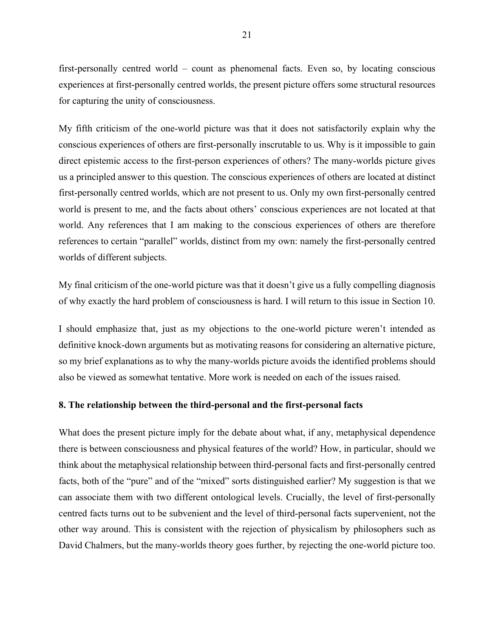first-personally centred world – count as phenomenal facts. Even so, by locating conscious experiences at first-personally centred worlds, the present picture offers some structural resources for capturing the unity of consciousness.

My fifth criticism of the one-world picture was that it does not satisfactorily explain why the conscious experiences of others are first-personally inscrutable to us. Why is it impossible to gain direct epistemic access to the first-person experiences of others? The many-worlds picture gives us a principled answer to this question. The conscious experiences of others are located at distinct first-personally centred worlds, which are not present to us. Only my own first-personally centred world is present to me, and the facts about others' conscious experiences are not located at that world. Any references that I am making to the conscious experiences of others are therefore references to certain "parallel" worlds, distinct from my own: namely the first-personally centred worlds of different subjects.

My final criticism of the one-world picture was that it doesn't give us a fully compelling diagnosis of why exactly the hard problem of consciousness is hard. I will return to this issue in Section 10.

I should emphasize that, just as my objections to the one-world picture weren't intended as definitive knock-down arguments but as motivating reasons for considering an alternative picture, so my brief explanations as to why the many-worlds picture avoids the identified problems should also be viewed as somewhat tentative. More work is needed on each of the issues raised.

#### **8. The relationship between the third-personal and the first-personal facts**

What does the present picture imply for the debate about what, if any, metaphysical dependence there is between consciousness and physical features of the world? How, in particular, should we think about the metaphysical relationship between third-personal facts and first-personally centred facts, both of the "pure" and of the "mixed" sorts distinguished earlier? My suggestion is that we can associate them with two different ontological levels. Crucially, the level of first-personally centred facts turns out to be subvenient and the level of third-personal facts supervenient, not the other way around. This is consistent with the rejection of physicalism by philosophers such as David Chalmers, but the many-worlds theory goes further, by rejecting the one-world picture too.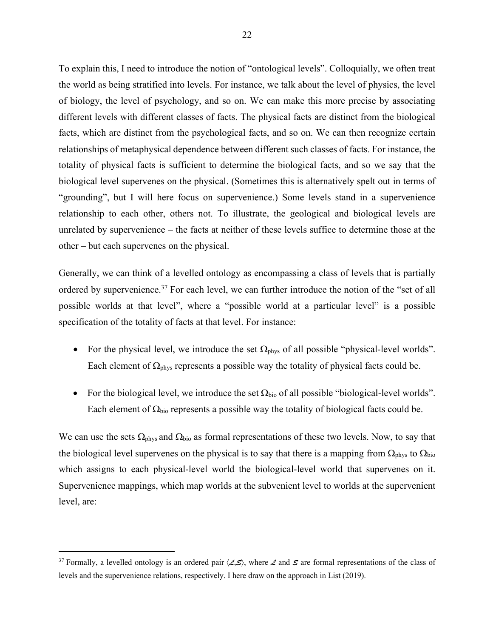To explain this, I need to introduce the notion of "ontological levels". Colloquially, we often treat the world as being stratified into levels. For instance, we talk about the level of physics, the level of biology, the level of psychology, and so on. We can make this more precise by associating different levels with different classes of facts. The physical facts are distinct from the biological facts, which are distinct from the psychological facts, and so on. We can then recognize certain relationships of metaphysical dependence between different such classes of facts. For instance, the totality of physical facts is sufficient to determine the biological facts, and so we say that the biological level supervenes on the physical. (Sometimes this is alternatively spelt out in terms of "grounding", but I will here focus on supervenience.) Some levels stand in a supervenience relationship to each other, others not. To illustrate, the geological and biological levels are unrelated by supervenience – the facts at neither of these levels suffice to determine those at the other – but each supervenes on the physical.

Generally, we can think of a levelled ontology as encompassing a class of levels that is partially ordered by supervenience.<sup>37</sup> For each level, we can further introduce the notion of the "set of all possible worlds at that level", where a "possible world at a particular level" is a possible specification of the totality of facts at that level. For instance:

- For the physical level, we introduce the set  $\Omega_{\text{phys}}$  of all possible "physical-level worlds". Each element of  $\Omega_{\text{phys}}$  represents a possible way the totality of physical facts could be.
- For the biological level, we introduce the set  $\Omega_{bio}$  of all possible "biological-level worlds". Each element of  $\Omega_{\text{bio}}$  represents a possible way the totality of biological facts could be.

We can use the sets  $\Omega_{\text{phys}}$  and  $\Omega_{\text{bio}}$  as formal representations of these two levels. Now, to say that the biological level supervenes on the physical is to say that there is a mapping from  $\Omega_{\text{phys}}$  to  $\Omega_{\text{bio}}$ which assigns to each physical-level world the biological-level world that supervenes on it. Supervenience mappings, which map worlds at the subvenient level to worlds at the supervenient level, are:

<sup>&</sup>lt;sup>37</sup> Formally, a levelled ontology is an ordered pair  $\langle \mathcal{L}, \mathcal{S} \rangle$ , where  $\mathcal{L}$  and  $\mathcal{S}$  are formal representations of the class of levels and the supervenience relations, respectively. I here draw on the approach in List (2019).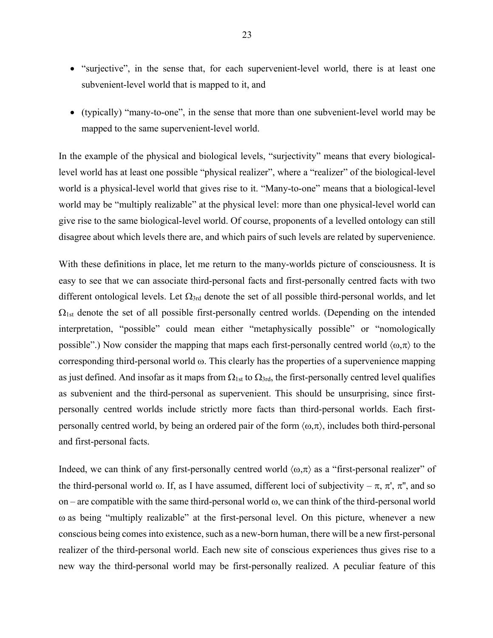- "surjective", in the sense that, for each supervenient-level world, there is at least one subvenient-level world that is mapped to it, and
- (typically) "many-to-one", in the sense that more than one subvenient-level world may be mapped to the same supervenient-level world.

In the example of the physical and biological levels, "surjectivity" means that every biologicallevel world has at least one possible "physical realizer", where a "realizer" of the biological-level world is a physical-level world that gives rise to it. "Many-to-one" means that a biological-level world may be "multiply realizable" at the physical level: more than one physical-level world can give rise to the same biological-level world. Of course, proponents of a levelled ontology can still disagree about which levels there are, and which pairs of such levels are related by supervenience.

With these definitions in place, let me return to the many-worlds picture of consciousness. It is easy to see that we can associate third-personal facts and first-personally centred facts with two different ontological levels. Let  $\Omega_{3rd}$  denote the set of all possible third-personal worlds, and let  $\Omega_{1st}$  denote the set of all possible first-personally centred worlds. (Depending on the intended interpretation, "possible" could mean either "metaphysically possible" or "nomologically possible".) Now consider the mapping that maps each first-personally centred world  $\langle \omega, \pi \rangle$  to the corresponding third-personal world  $\omega$ . This clearly has the properties of a supervenience mapping as just defined. And insofar as it maps from  $\Omega_{1st}$  to  $\Omega_{3rd}$ , the first-personally centred level qualifies as subvenient and the third-personal as supervenient. This should be unsurprising, since firstpersonally centred worlds include strictly more facts than third-personal worlds. Each firstpersonally centred world, by being an ordered pair of the form  $\langle \omega, \pi \rangle$ , includes both third-personal and first-personal facts.

Indeed, we can think of any first-personally centred world  $\langle \omega, \pi \rangle$  as a "first-personal realizer" of the third-personal world  $\omega$ . If, as I have assumed, different loci of subjectivity –  $\pi$ ,  $\pi'$ ,  $\pi''$ , and so on – are compatible with the same third-personal world  $\omega$ , we can think of the third-personal world  $\omega$  as being "multiply realizable" at the first-personal level. On this picture, whenever a new conscious being comes into existence, such as a new-born human, there will be a new first-personal realizer of the third-personal world. Each new site of conscious experiences thus gives rise to a new way the third-personal world may be first-personally realized. A peculiar feature of this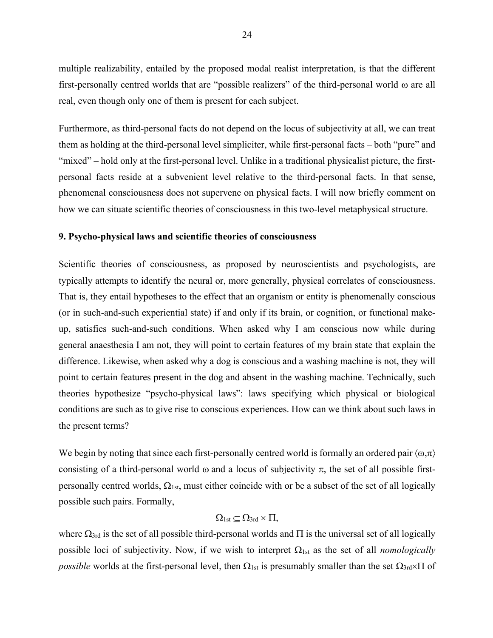multiple realizability, entailed by the proposed modal realist interpretation, is that the different first-personally centred worlds that are "possible realizers" of the third-personal world  $\omega$  are all real, even though only one of them is present for each subject.

Furthermore, as third-personal facts do not depend on the locus of subjectivity at all, we can treat them as holding at the third-personal level simpliciter, while first-personal facts – both "pure" and "mixed" – hold only at the first-personal level. Unlike in a traditional physicalist picture, the firstpersonal facts reside at a subvenient level relative to the third-personal facts. In that sense, phenomenal consciousness does not supervene on physical facts. I will now briefly comment on how we can situate scientific theories of consciousness in this two-level metaphysical structure.

### **9. Psycho-physical laws and scientific theories of consciousness**

Scientific theories of consciousness, as proposed by neuroscientists and psychologists, are typically attempts to identify the neural or, more generally, physical correlates of consciousness. That is, they entail hypotheses to the effect that an organism or entity is phenomenally conscious (or in such-and-such experiential state) if and only if its brain, or cognition, or functional makeup, satisfies such-and-such conditions. When asked why I am conscious now while during general anaesthesia I am not, they will point to certain features of my brain state that explain the difference. Likewise, when asked why a dog is conscious and a washing machine is not, they will point to certain features present in the dog and absent in the washing machine. Technically, such theories hypothesize "psycho-physical laws": laws specifying which physical or biological conditions are such as to give rise to conscious experiences. How can we think about such laws in the present terms?

We begin by noting that since each first-personally centred world is formally an ordered pair  $\langle \omega, \pi \rangle$ consisting of a third-personal world  $\omega$  and a locus of subjectivity  $\pi$ , the set of all possible firstpersonally centred worlds,  $\Omega_{1st}$ , must either coincide with or be a subset of the set of all logically possible such pairs. Formally,

# $\Omega_{1st} \subset \Omega_{3rd} \times \Pi$ ,

where  $\Omega_{3rd}$  is the set of all possible third-personal worlds and  $\Pi$  is the universal set of all logically possible loci of subjectivity. Now, if we wish to interpret  $\Omega_{1st}$  as the set of all *nomologically possible* worlds at the first-personal level, then  $\Omega_{1st}$  is presumably smaller than the set  $\Omega_{3rd} \times \Pi$  of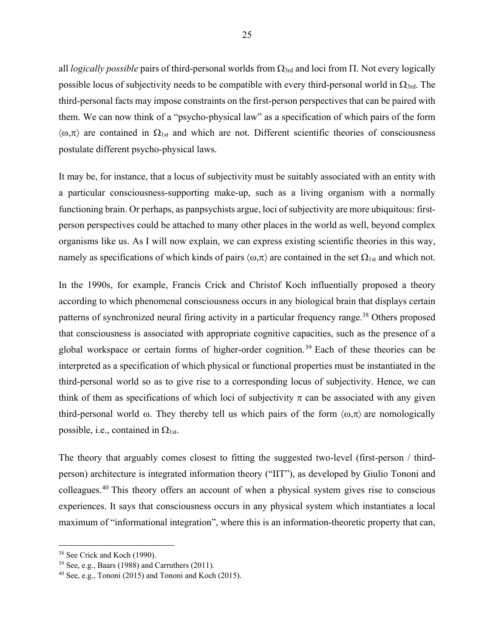all *logically possible* pairs of third-personal worlds from  $\Omega_{3rd}$  and loci from  $\Pi$ . Not every logically possible locus of subjectivity needs to be compatible with every third-personal world in  $\Omega_{3rd}$ . The third-personal facts may impose constraints on the first-person perspectives that can be paired with them. We can now think of a "psycho-physical law" as a specification of which pairs of the form  $\langle \omega,\pi \rangle$  are contained in  $\Omega_{1st}$  and which are not. Different scientific theories of consciousness postulate different psycho-physical laws.

It may be, for instance, that a locus of subjectivity must be suitably associated with an entity with a particular consciousness-supporting make-up, such as a living organism with a normally functioning brain. Or perhaps, as panpsychists argue, loci of subjectivity are more ubiquitous: firstperson perspectives could be attached to many other places in the world as well, beyond complex organisms like us. As I will now explain, we can express existing scientific theories in this way, namely as specifications of which kinds of pairs  $\langle \omega, \pi \rangle$  are contained in the set  $\Omega_{1st}$  and which not.

In the 1990s, for example, Francis Crick and Christof Koch influentially proposed a theory according to which phenomenal consciousness occurs in any biological brain that displays certain patterns of synchronized neural firing activity in a particular frequency range.<sup>38</sup> Others proposed that consciousness is associated with appropriate cognitive capacities, such as the presence of a global workspace or certain forms of higher-order cognition.<sup>39</sup> Each of these theories can be interpreted as a specification of which physical or functional properties must be instantiated in the third-personal world so as to give rise to a corresponding locus of subjectivity. Hence, we can think of them as specifications of which loci of subjectivity  $\pi$  can be associated with any given third-personal world  $\omega$ . They thereby tell us which pairs of the form  $\langle \omega, \pi \rangle$  are nomologically possible, i.e., contained in  $\Omega_{1st}$ .

The theory that arguably comes closest to fitting the suggested two-level (first-person / thirdperson) architecture is integrated information theory ("IIT"), as developed by Giulio Tononi and colleagues. <sup>40</sup> This theory offers an account of when a physical system gives rise to conscious experiences. It says that consciousness occurs in any physical system which instantiates a local maximum of "informational integration", where this is an information-theoretic property that can,

<sup>38</sup> See Crick and Koch (1990).

 $39$  See, e.g., Baars (1988) and Carruthers (2011).

 $40$  See, e.g., Tononi (2015) and Tononi and Koch (2015).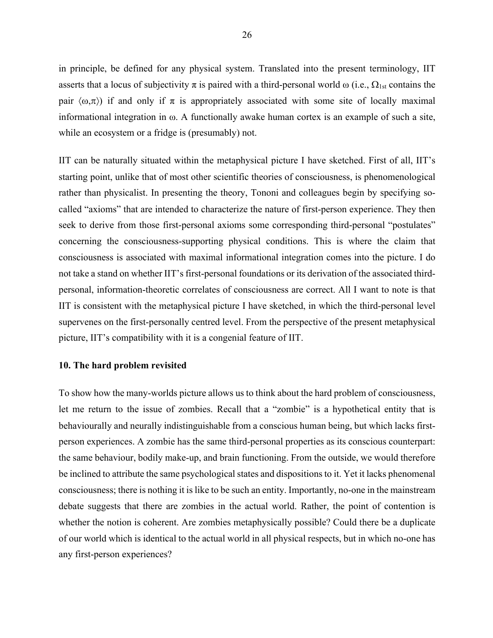in principle, be defined for any physical system. Translated into the present terminology, IIT asserts that a locus of subjectivity  $\pi$  is paired with a third-personal world  $\omega$  (i.e.,  $\Omega_{1st}$  contains the pair  $\langle \omega,\pi \rangle$  if and only if  $\pi$  is appropriately associated with some site of locally maximal informational integration in  $\omega$ . A functionally awake human cortex is an example of such a site, while an ecosystem or a fridge is (presumably) not.

IIT can be naturally situated within the metaphysical picture I have sketched. First of all, IIT's starting point, unlike that of most other scientific theories of consciousness, is phenomenological rather than physicalist. In presenting the theory, Tononi and colleagues begin by specifying socalled "axioms" that are intended to characterize the nature of first-person experience. They then seek to derive from those first-personal axioms some corresponding third-personal "postulates" concerning the consciousness-supporting physical conditions. This is where the claim that consciousness is associated with maximal informational integration comes into the picture. I do not take a stand on whether IIT's first-personal foundations or its derivation of the associated thirdpersonal, information-theoretic correlates of consciousness are correct. All I want to note is that IIT is consistent with the metaphysical picture I have sketched, in which the third-personal level supervenes on the first-personally centred level. From the perspective of the present metaphysical picture, IIT's compatibility with it is a congenial feature of IIT.

#### **10. The hard problem revisited**

To show how the many-worlds picture allows us to think about the hard problem of consciousness, let me return to the issue of zombies. Recall that a "zombie" is a hypothetical entity that is behaviourally and neurally indistinguishable from a conscious human being, but which lacks firstperson experiences. A zombie has the same third-personal properties as its conscious counterpart: the same behaviour, bodily make-up, and brain functioning. From the outside, we would therefore be inclined to attribute the same psychological states and dispositions to it. Yet it lacks phenomenal consciousness; there is nothing it is like to be such an entity. Importantly, no-one in the mainstream debate suggests that there are zombies in the actual world. Rather, the point of contention is whether the notion is coherent. Are zombies metaphysically possible? Could there be a duplicate of our world which is identical to the actual world in all physical respects, but in which no-one has any first-person experiences?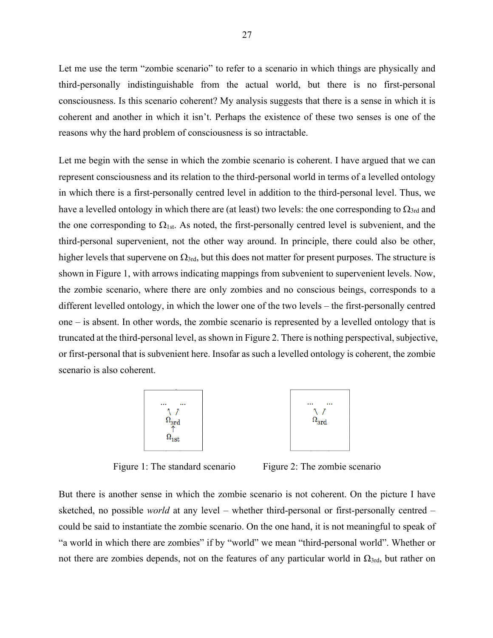Let me use the term "zombie scenario" to refer to a scenario in which things are physically and third-personally indistinguishable from the actual world, but there is no first-personal consciousness. Is this scenario coherent? My analysis suggests that there is a sense in which it is coherent and another in which it isn't. Perhaps the existence of these two senses is one of the reasons why the hard problem of consciousness is so intractable.

Let me begin with the sense in which the zombie scenario is coherent. I have argued that we can represent consciousness and its relation to the third-personal world in terms of a levelled ontology in which there is a first-personally centred level in addition to the third-personal level. Thus, we have a levelled ontology in which there are (at least) two levels: the one corresponding to  $\Omega_{3rd}$  and the one corresponding to  $\Omega_{1st}$ . As noted, the first-personally centred level is subvenient, and the third-personal supervenient, not the other way around. In principle, there could also be other, higher levels that supervene on  $\Omega_{3rd}$ , but this does not matter for present purposes. The structure is shown in Figure 1, with arrows indicating mappings from subvenient to supervenient levels. Now, the zombie scenario, where there are only zombies and no conscious beings, corresponds to a different levelled ontology, in which the lower one of the two levels – the first-personally centred one – is absent. In other words, the zombie scenario is represented by a levelled ontology that is truncated at the third-personal level, as shown in Figure 2. There is nothing perspectival, subjective, or first-personal that is subvenient here. Insofar as such a levelled ontology is coherent, the zombie scenario is also coherent.



Figure 1: The standard scenario Figure 2: The zombie scenario

But there is another sense in which the zombie scenario is not coherent. On the picture I have sketched, no possible *world* at any level – whether third-personal or first-personally centred – could be said to instantiate the zombie scenario. On the one hand, it is not meaningful to speak of "a world in which there are zombies" if by "world" we mean "third-personal world". Whether or not there are zombies depends, not on the features of any particular world in  $Ω<sub>3rd</sub>$ , but rather on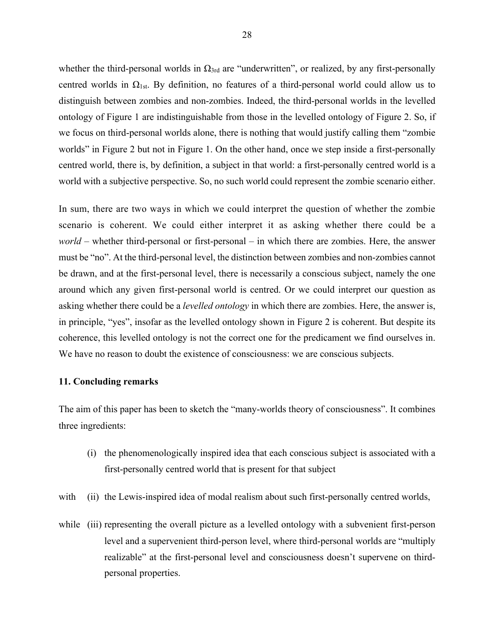whether the third-personal worlds in  $\Omega_{3rd}$  are "underwritten", or realized, by any first-personally centred worlds in  $\Omega_{1st}$ . By definition, no features of a third-personal world could allow us to distinguish between zombies and non-zombies. Indeed, the third-personal worlds in the levelled ontology of Figure 1 are indistinguishable from those in the levelled ontology of Figure 2. So, if we focus on third-personal worlds alone, there is nothing that would justify calling them "zombie worlds" in Figure 2 but not in Figure 1. On the other hand, once we step inside a first-personally centred world, there is, by definition, a subject in that world: a first-personally centred world is a world with a subjective perspective. So, no such world could represent the zombie scenario either.

In sum, there are two ways in which we could interpret the question of whether the zombie scenario is coherent. We could either interpret it as asking whether there could be a *world* – whether third-personal or first-personal – in which there are zombies. Here, the answer must be "no". At the third-personal level, the distinction between zombies and non-zombies cannot be drawn, and at the first-personal level, there is necessarily a conscious subject, namely the one around which any given first-personal world is centred. Or we could interpret our question as asking whether there could be a *levelled ontology* in which there are zombies. Here, the answer is, in principle, "yes", insofar as the levelled ontology shown in Figure 2 is coherent. But despite its coherence, this levelled ontology is not the correct one for the predicament we find ourselves in. We have no reason to doubt the existence of consciousness: we are conscious subjects.

#### **11. Concluding remarks**

The aim of this paper has been to sketch the "many-worlds theory of consciousness". It combines three ingredients:

- (i) the phenomenologically inspired idea that each conscious subject is associated with a first-personally centred world that is present for that subject
- with (ii) the Lewis-inspired idea of modal realism about such first-personally centred worlds,
- while (iii) representing the overall picture as a levelled ontology with a subvenient first-person level and a supervenient third-person level, where third-personal worlds are "multiply realizable" at the first-personal level and consciousness doesn't supervene on thirdpersonal properties.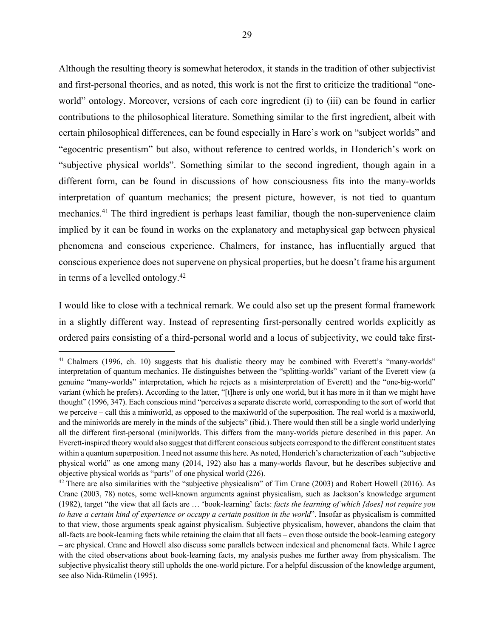Although the resulting theory is somewhat heterodox, it stands in the tradition of other subjectivist and first-personal theories, and as noted, this work is not the first to criticize the traditional "oneworld" ontology. Moreover, versions of each core ingredient (i) to (iii) can be found in earlier contributions to the philosophical literature. Something similar to the first ingredient, albeit with certain philosophical differences, can be found especially in Hare's work on "subject worlds" and "egocentric presentism" but also, without reference to centred worlds, in Honderich's work on "subjective physical worlds". Something similar to the second ingredient, though again in a different form, can be found in discussions of how consciousness fits into the many-worlds interpretation of quantum mechanics; the present picture, however, is not tied to quantum mechanics.<sup>41</sup> The third ingredient is perhaps least familiar, though the non-supervenience claim implied by it can be found in works on the explanatory and metaphysical gap between physical phenomena and conscious experience. Chalmers, for instance, has influentially argued that conscious experience does not supervene on physical properties, but he doesn't frame his argument in terms of a levelled ontology. 42

I would like to close with a technical remark. We could also set up the present formal framework in a slightly different way. Instead of representing first-personally centred worlds explicitly as ordered pairs consisting of a third-personal world and a locus of subjectivity, we could take first-

<sup>&</sup>lt;sup>41</sup> Chalmers (1996, ch. 10) suggests that his dualistic theory may be combined with Everett's "many-worlds" interpretation of quantum mechanics. He distinguishes between the "splitting-worlds" variant of the Everett view (a genuine "many-worlds" interpretation, which he rejects as a misinterpretation of Everett) and the "one-big-world" variant (which he prefers). According to the latter, "[t]here is only one world, but it has more in it than we might have thought" (1996, 347). Each conscious mind "perceives a separate discrete world, corresponding to the sort of world that we perceive – call this a miniworld, as opposed to the maxiworld of the superposition. The real world is a maxiworld, and the miniworlds are merely in the minds of the subjects" (ibid.). There would then still be a single world underlying all the different first-personal (mini)worlds. This differs from the many-worlds picture described in this paper. An Everett-inspired theory would also suggest that different conscious subjects correspond to the different constituent states within a quantum superposition. I need not assume this here. As noted, Honderich's characterization of each "subjective physical world" as one among many (2014, 192) also has a many-worlds flavour, but he describes subjective and objective physical worlds as "parts" of one physical world (226).

 $42$  There are also similarities with the "subjective physicalism" of Tim Crane (2003) and Robert Howell (2016). As Crane (2003, 78) notes, some well-known arguments against physicalism, such as Jackson's knowledge argument (1982), target "the view that all facts are … 'book-learning' facts: *facts the learning of which [does] not require you to have a certain kind of experience or occupy a certain position in the world*". Insofar as physicalism is committed to that view, those arguments speak against physicalism. Subjective physicalism, however, abandons the claim that all-facts are book-learning facts while retaining the claim that all facts – even those outside the book-learning category – are physical. Crane and Howell also discuss some parallels between indexical and phenomenal facts. While I agree with the cited observations about book-learning facts, my analysis pushes me further away from physicalism. The subjective physicalist theory still upholds the one-world picture. For a helpful discussion of the knowledge argument, see also Nida-Rümelin (1995).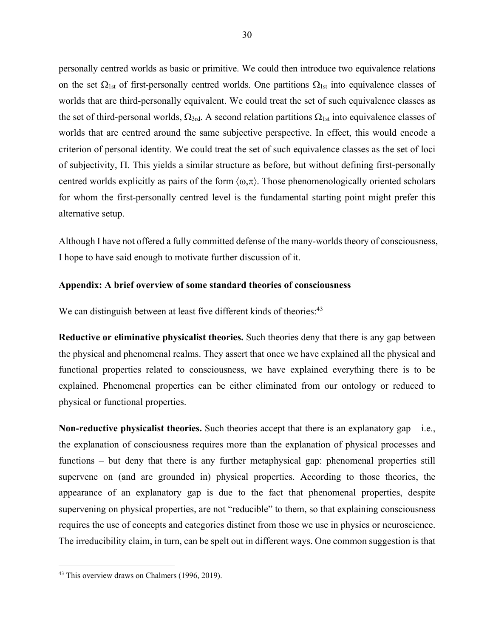personally centred worlds as basic or primitive. We could then introduce two equivalence relations on the set  $\Omega_{1st}$  of first-personally centred worlds. One partitions  $\Omega_{1st}$  into equivalence classes of worlds that are third-personally equivalent. We could treat the set of such equivalence classes as the set of third-personal worlds,  $\Omega_{3rd}$ . A second relation partitions  $\Omega_{1st}$  into equivalence classes of worlds that are centred around the same subjective perspective. In effect, this would encode a criterion of personal identity. We could treat the set of such equivalence classes as the set of loci of subjectivity,  $\Pi$ . This yields a similar structure as before, but without defining first-personally centred worlds explicitly as pairs of the form  $\langle \omega, \pi \rangle$ . Those phenomenologically oriented scholars for whom the first-personally centred level is the fundamental starting point might prefer this alternative setup.

Although I have not offered a fully committed defense of the many-worlds theory of consciousness, I hope to have said enough to motivate further discussion of it.

## **Appendix: A brief overview of some standard theories of consciousness**

We can distinguish between at least five different kinds of theories:<sup>43</sup>

**Reductive or eliminative physicalist theories.** Such theories deny that there is any gap between the physical and phenomenal realms. They assert that once we have explained all the physical and functional properties related to consciousness, we have explained everything there is to be explained. Phenomenal properties can be either eliminated from our ontology or reduced to physical or functional properties.

**Non-reductive physicalist theories.** Such theories accept that there is an explanatory gap – i.e., the explanation of consciousness requires more than the explanation of physical processes and functions – but deny that there is any further metaphysical gap: phenomenal properties still supervene on (and are grounded in) physical properties. According to those theories, the appearance of an explanatory gap is due to the fact that phenomenal properties, despite supervening on physical properties, are not "reducible" to them, so that explaining consciousness requires the use of concepts and categories distinct from those we use in physics or neuroscience. The irreducibility claim, in turn, can be spelt out in different ways. One common suggestion is that

<sup>&</sup>lt;sup>43</sup> This overview draws on Chalmers (1996, 2019).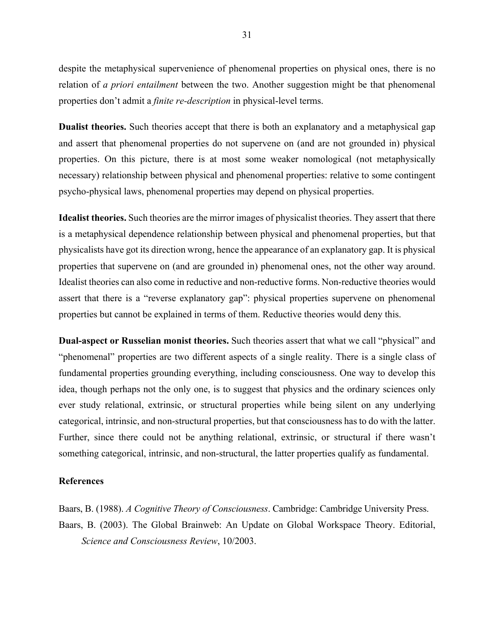despite the metaphysical supervenience of phenomenal properties on physical ones, there is no relation of *a priori entailment* between the two. Another suggestion might be that phenomenal properties don't admit a *finite re-description* in physical-level terms.

**Dualist theories.** Such theories accept that there is both an explanatory and a metaphysical gap and assert that phenomenal properties do not supervene on (and are not grounded in) physical properties. On this picture, there is at most some weaker nomological (not metaphysically necessary) relationship between physical and phenomenal properties: relative to some contingent psycho-physical laws, phenomenal properties may depend on physical properties.

**Idealist theories.** Such theories are the mirror images of physicalist theories. They assert that there is a metaphysical dependence relationship between physical and phenomenal properties, but that physicalists have got its direction wrong, hence the appearance of an explanatory gap. It is physical properties that supervene on (and are grounded in) phenomenal ones, not the other way around. Idealist theories can also come in reductive and non-reductive forms. Non-reductive theories would assert that there is a "reverse explanatory gap": physical properties supervene on phenomenal properties but cannot be explained in terms of them. Reductive theories would deny this.

**Dual-aspect or Russelian monist theories.** Such theories assert that what we call "physical" and "phenomenal" properties are two different aspects of a single reality. There is a single class of fundamental properties grounding everything, including consciousness. One way to develop this idea, though perhaps not the only one, is to suggest that physics and the ordinary sciences only ever study relational, extrinsic, or structural properties while being silent on any underlying categorical, intrinsic, and non-structural properties, but that consciousness has to do with the latter. Further, since there could not be anything relational, extrinsic, or structural if there wasn't something categorical, intrinsic, and non-structural, the latter properties qualify as fundamental.

#### **References**

Baars, B. (1988). *A Cognitive Theory of Consciousness*. Cambridge: Cambridge University Press. Baars, B. (2003). The Global Brainweb: An Update on Global Workspace Theory. Editorial, *Science and Consciousness Review*, 10/2003.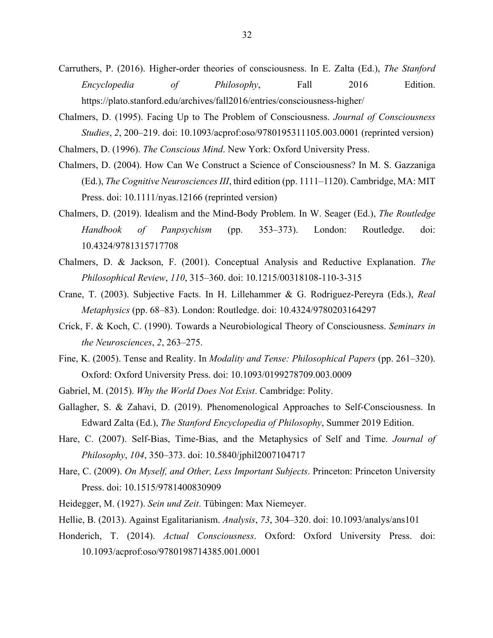- Carruthers, P. (2016). Higher-order theories of consciousness. In E. Zalta (Ed.), *The Stanford Encyclopedia of Philosophy*, Fall 2016 Edition. https://plato.stanford.edu/archives/fall2016/entries/consciousness-higher/
- Chalmers, D. (1995). Facing Up to The Problem of Consciousness. *Journal of Consciousness Studies*, *2*, 200–219. doi: 10.1093/acprof:oso/9780195311105.003.0001 (reprinted version)
- Chalmers, D. (1996). *The Conscious Mind*. New York: Oxford University Press.
- Chalmers, D. (2004). How Can We Construct a Science of Consciousness? In M. S. Gazzaniga (Ed.), *The Cognitive Neurosciences III*, third edition (pp. 1111–1120). Cambridge, MA: MIT Press. doi: 10.1111/nyas.12166 (reprinted version)
- Chalmers, D. (2019). Idealism and the Mind-Body Problem. In W. Seager (Ed.), *The Routledge Handbook of Panpsychism* (pp. 353–373). London: Routledge. doi: 10.4324/9781315717708
- Chalmers, D. & Jackson, F. (2001). Conceptual Analysis and Reductive Explanation. *The Philosophical Review*, *110*, 315–360. doi: 10.1215/00318108-110-3-315
- Crane, T. (2003). Subjective Facts. In H. Lillehammer & G. Rodriguez-Pereyra (Eds.), *Real Metaphysics* (pp. 68–83). London: Routledge. doi: 10.4324/9780203164297
- Crick, F. & Koch, C. (1990). Towards a Neurobiological Theory of Consciousness. *Seminars in the Neurosciences*, *2*, 263–275.
- Fine, K. (2005). Tense and Reality. In *Modality and Tense: Philosophical Papers* (pp. 261–320). Oxford: Oxford University Press. doi: 10.1093/0199278709.003.0009
- Gabriel, M. (2015). *Why the World Does Not Exist*. Cambridge: Polity.
- Gallagher, S. & Zahavi, D. (2019). Phenomenological Approaches to Self-Consciousness. In Edward Zalta (Ed.), *The Stanford Encyclopedia of Philosophy*, Summer 2019 Edition.
- Hare, C. (2007). Self-Bias, Time-Bias, and the Metaphysics of Self and Time. *Journal of Philosophy*, *104*, 350–373. doi: 10.5840/jphil2007104717
- Hare, C. (2009). *On Myself, and Other, Less Important Subjects*. Princeton: Princeton University Press. doi: 10.1515/9781400830909
- Heidegger, M. (1927). *Sein und Zeit*. Tübingen: Max Niemeyer.
- Hellie, B. (2013). Against Egalitarianism. *Analysis*, *73*, 304–320. doi: 10.1093/analys/ans101
- Honderich, T. (2014). *Actual Consciousness*. Oxford: Oxford University Press. doi: 10.1093/acprof:oso/9780198714385.001.0001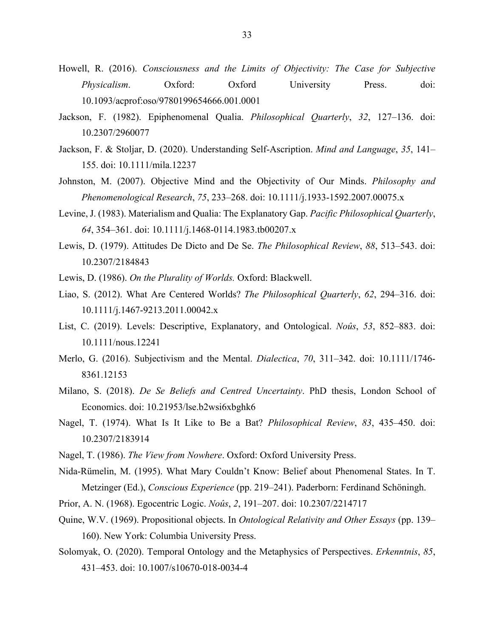- Howell, R. (2016). *Consciousness and the Limits of Objectivity: The Case for Subjective Physicalism*. Oxford: Oxford University Press. doi: 10.1093/acprof:oso/9780199654666.001.0001
- Jackson, F. (1982). Epiphenomenal Qualia. *Philosophical Quarterly*, *32*, 127–136. doi: 10.2307/2960077
- Jackson, F. & Stoljar, D. (2020). Understanding Self-Ascription. *Mind and Language*, *35*, 141– 155. doi: 10.1111/mila.12237
- Johnston, M. (2007). Objective Mind and the Objectivity of Our Minds. *Philosophy and Phenomenological Research*, *75*, 233–268. doi: 10.1111/j.1933-1592.2007.00075.x
- Levine, J. (1983). Materialism and Qualia: The Explanatory Gap. *Pacific Philosophical Quarterly*, *64*, 354–361. doi: 10.1111/j.1468-0114.1983.tb00207.x
- Lewis, D. (1979). Attitudes De Dicto and De Se. *The Philosophical Review*, *88*, 513–543. doi: 10.2307/2184843
- Lewis, D. (1986). *On the Plurality of Worlds.* Oxford: Blackwell.
- Liao, S. (2012). What Are Centered Worlds? *The Philosophical Quarterly*, *62*, 294–316. doi: 10.1111/j.1467-9213.2011.00042.x
- List, C. (2019). Levels: Descriptive, Explanatory, and Ontological. *Noûs*, *53*, 852–883. doi: 10.1111/nous.12241
- Merlo, G. (2016). Subjectivism and the Mental. *Dialectica*, *70*, 311–342. doi: 10.1111/1746- 8361.12153
- Milano, S. (2018). *De Se Beliefs and Centred Uncertainty*. PhD thesis, London School of Economics. doi: 10.21953/lse.b2wsi6xbghk6
- Nagel, T. (1974). What Is It Like to Be a Bat? *Philosophical Review*, *83*, 435–450. doi: 10.2307/2183914
- Nagel, T. (1986). *The View from Nowhere*. Oxford: Oxford University Press.
- Nida-Rümelin, M. (1995). What Mary Couldn't Know: Belief about Phenomenal States. In T. Metzinger (Ed.), *Conscious Experience* (pp. 219–241). Paderborn: Ferdinand Schöningh.
- Prior, A. N. (1968). Egocentric Logic. *Noûs*, *2*, 191–207. doi: 10.2307/2214717
- Quine, W.V. (1969). Propositional objects. In *Ontological Relativity and Other Essays* (pp. 139– 160). New York: Columbia University Press.
- Solomyak, O. (2020). Temporal Ontology and the Metaphysics of Perspectives. *Erkenntnis*, *85*, 431–453. doi: 10.1007/s10670-018-0034-4